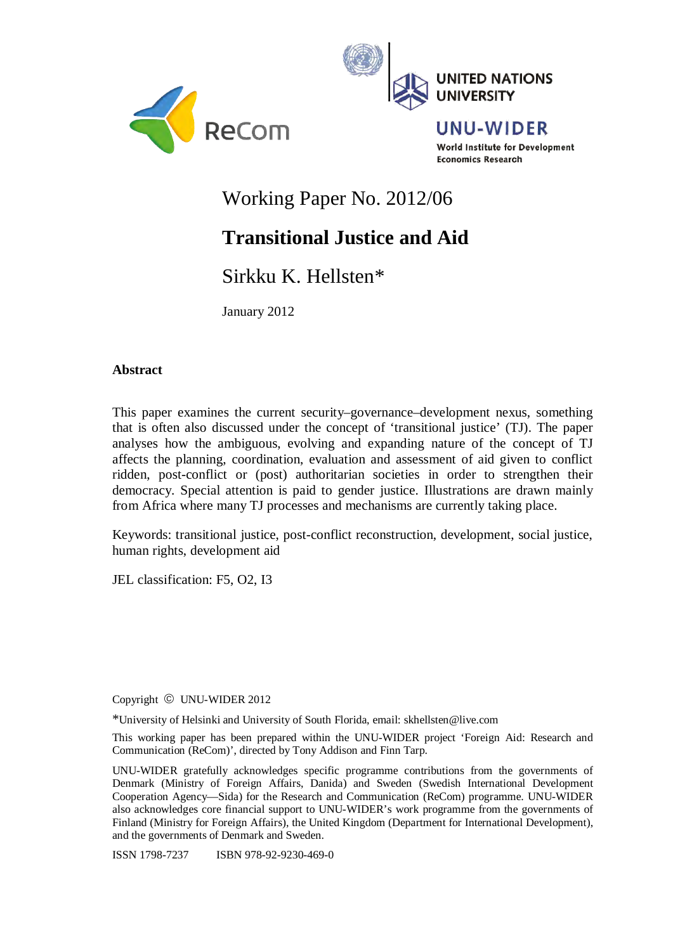



**UNU-WIDER** World Institute for Development **Economics Research** 

## Working Paper No. 2012/06

# **Transitional Justice and Aid**

## Sirkku K. Hellsten\*

January 2012

## **Abstract**

This paper examines the current security–governance–development nexus, something that is often also discussed under the concept of 'transitional justice' (TJ). The paper analyses how the ambiguous, evolving and expanding nature of the concept of TJ affects the planning, coordination, evaluation and assessment of aid given to conflict ridden, post-conflict or (post) authoritarian societies in order to strengthen their democracy. Special attention is paid to gender justice. Illustrations are drawn mainly from Africa where many TJ processes and mechanisms are currently taking place.

Keywords: transitional justice, post-conflict reconstruction, development, social justice, human rights, development aid

JEL classification: F5, O2, I3

Copyright © UNU-WIDER 2012

\*University of Helsinki and University of South Florida, email: skhellsten@live.com

This working paper has been prepared within the UNU-WIDER project 'Foreign Aid: Research and Communication (ReCom)', directed by Tony Addison and Finn Tarp.

UNU-WIDER gratefully acknowledges specific programme contributions from the governments of Denmark (Ministry of Foreign Affairs, Danida) and Sweden (Swedish International Development Cooperation Agency—Sida) for the Research and Communication (ReCom) programme. UNU-WIDER also acknowledges core financial support to UNU-WIDER's work programme from the governments of Finland (Ministry for Foreign Affairs), the United Kingdom (Department for International Development), and the governments of Denmark and Sweden.

ISSN 1798-7237 ISBN 978-92-9230-469-0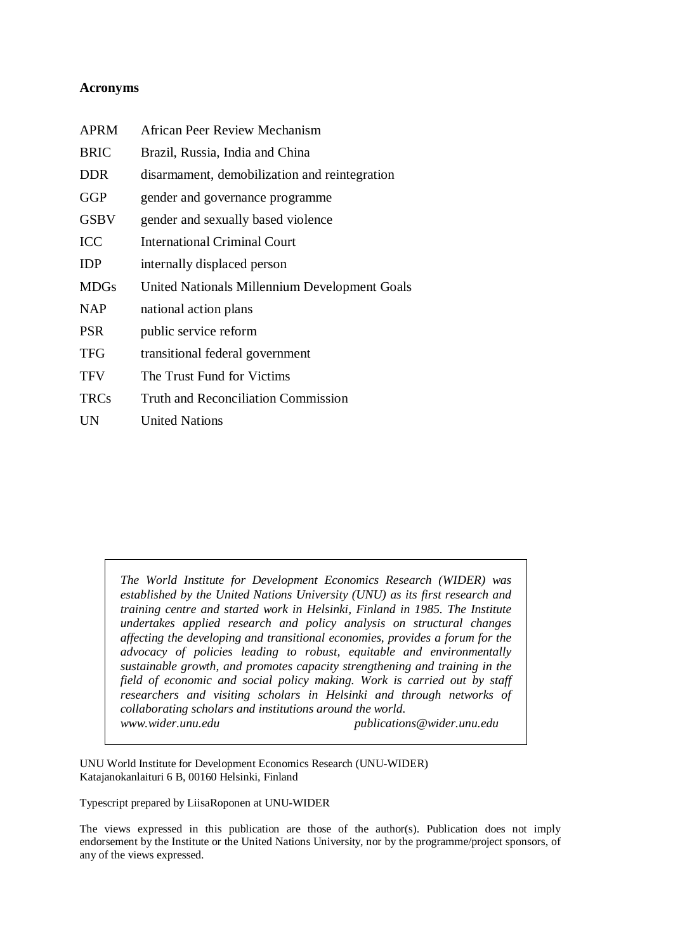## **Acronyms**

| <b>APRM</b> | African Peer Review Mechanism                 |
|-------------|-----------------------------------------------|
| <b>BRIC</b> | Brazil, Russia, India and China               |
| <b>DDR</b>  | disarmament, demobilization and reintegration |
| GGP         | gender and governance programme               |
| <b>GSBV</b> | gender and sexually based violence            |
| <b>ICC</b>  | International Criminal Court                  |
| <b>IDP</b>  | internally displaced person                   |
| <b>MDGs</b> | United Nationals Millennium Development Goals |
| <b>NAP</b>  | national action plans                         |
| <b>PSR</b>  | public service reform                         |
| <b>TFG</b>  | transitional federal government               |
| <b>TFV</b>  | The Trust Fund for Victims                    |
| <b>TRCs</b> | Truth and Reconciliation Commission           |
| <b>UN</b>   | <b>United Nations</b>                         |

*The World Institute for Development Economics Research (WIDER) was established by the United Nations University (UNU) as its first research and training centre and started work in Helsinki, Finland in 1985. The Institute undertakes applied research and policy analysis on structural changes affecting the developing and transitional economies, provides a forum for the advocacy of policies leading to robust, equitable and environmentally sustainable growth, and promotes capacity strengthening and training in the field of economic and social policy making. Work is carried out by staff researchers and visiting scholars in Helsinki and through networks of collaborating scholars and institutions around the world. www.wider.unu.edu publications@wider.unu.edu* 

UNU World Institute for Development Economics Research (UNU-WIDER) Katajanokanlaituri 6 B, 00160 Helsinki, Finland

Typescript prepared by LiisaRoponen at UNU-WIDER

The views expressed in this publication are those of the author(s). Publication does not imply endorsement by the Institute or the United Nations University, nor by the programme/project sponsors, of any of the views expressed.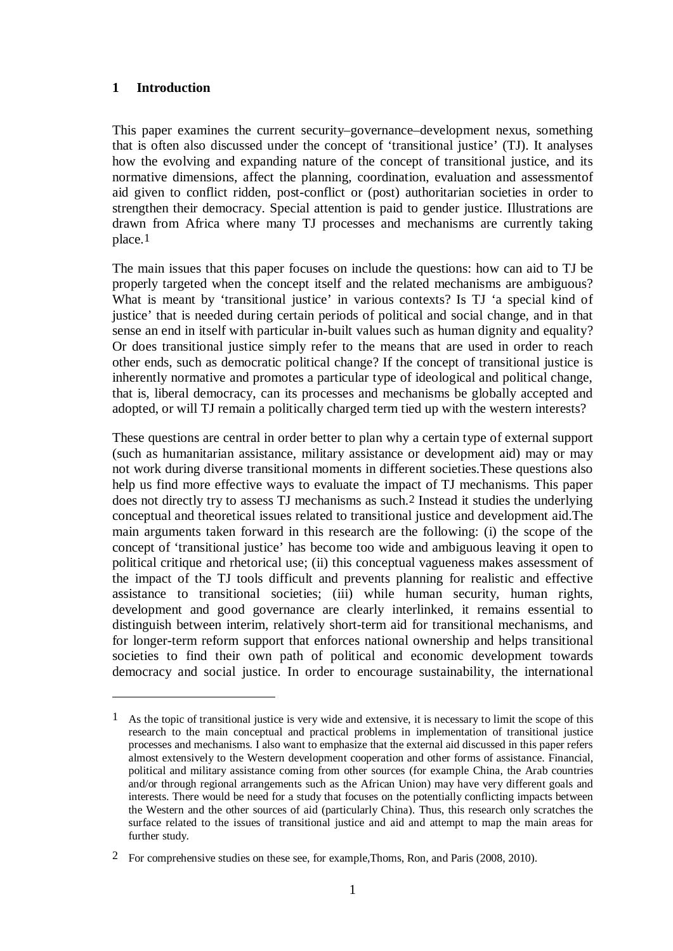## **1 Introduction**

1

This paper examines the current security–governance–development nexus, something that is often also discussed under the concept of 'transitional justice' (TJ). It analyses how the evolving and expanding nature of the concept of transitional justice, and its normative dimensions, affect the planning, coordination, evaluation and assessmentof aid given to conflict ridden, post-conflict or (post) authoritarian societies in order to strengthen their democracy. Special attention is paid to gender justice. Illustrations are drawn from Africa where many TJ processes and mechanisms are currently taking place.1

The main issues that this paper focuses on include the questions: how can aid to TJ be properly targeted when the concept itself and the related mechanisms are ambiguous? What is meant by 'transitional justice' in various contexts? Is TJ 'a special kind of justice' that is needed during certain periods of political and social change, and in that sense an end in itself with particular in-built values such as human dignity and equality? Or does transitional justice simply refer to the means that are used in order to reach other ends, such as democratic political change? If the concept of transitional justice is inherently normative and promotes a particular type of ideological and political change, that is, liberal democracy, can its processes and mechanisms be globally accepted and adopted, or will TJ remain a politically charged term tied up with the western interests?

These questions are central in order better to plan why a certain type of external support (such as humanitarian assistance, military assistance or development aid) may or may not work during diverse transitional moments in different societies.These questions also help us find more effective ways to evaluate the impact of TJ mechanisms. This paper does not directly try to assess TJ mechanisms as such.2 Instead it studies the underlying conceptual and theoretical issues related to transitional justice and development aid.The main arguments taken forward in this research are the following: (i) the scope of the concept of 'transitional justice' has become too wide and ambiguous leaving it open to political critique and rhetorical use; (ii) this conceptual vagueness makes assessment of the impact of the TJ tools difficult and prevents planning for realistic and effective assistance to transitional societies; (iii) while human security, human rights, development and good governance are clearly interlinked, it remains essential to distinguish between interim, relatively short-term aid for transitional mechanisms, and for longer-term reform support that enforces national ownership and helps transitional societies to find their own path of political and economic development towards democracy and social justice. In order to encourage sustainability, the international

<sup>1</sup> As the topic of transitional justice is very wide and extensive, it is necessary to limit the scope of this research to the main conceptual and practical problems in implementation of transitional justice processes and mechanisms. I also want to emphasize that the external aid discussed in this paper refers almost extensively to the Western development cooperation and other forms of assistance. Financial, political and military assistance coming from other sources (for example China, the Arab countries and/or through regional arrangements such as the African Union) may have very different goals and interests. There would be need for a study that focuses on the potentially conflicting impacts between the Western and the other sources of aid (particularly China). Thus, this research only scratches the surface related to the issues of transitional justice and aid and attempt to map the main areas for further study.

<sup>2</sup> For comprehensive studies on these see, for example,Thoms, Ron, and Paris (2008, 2010).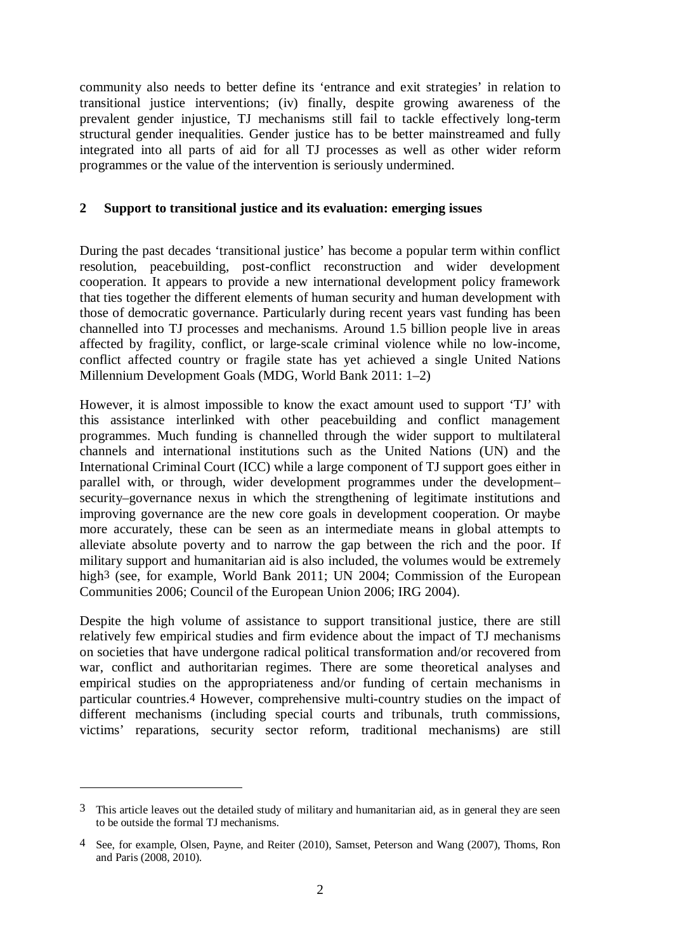community also needs to better define its 'entrance and exit strategies' in relation to transitional justice interventions; (iv) finally, despite growing awareness of the prevalent gender injustice, TJ mechanisms still fail to tackle effectively long-term structural gender inequalities. Gender justice has to be better mainstreamed and fully integrated into all parts of aid for all TJ processes as well as other wider reform programmes or the value of the intervention is seriously undermined.

## **2 Support to transitional justice and its evaluation: emerging issues**

During the past decades 'transitional justice' has become a popular term within conflict resolution, peacebuilding, post-conflict reconstruction and wider development cooperation. It appears to provide a new international development policy framework that ties together the different elements of human security and human development with those of democratic governance. Particularly during recent years vast funding has been channelled into TJ processes and mechanisms. Around 1.5 billion people live in areas affected by fragility, conflict, or large-scale criminal violence while no low-income, conflict affected country or fragile state has yet achieved a single United Nations Millennium Development Goals (MDG, World Bank 2011: 1–2)

However, it is almost impossible to know the exact amount used to support 'TJ' with this assistance interlinked with other peacebuilding and conflict management programmes. Much funding is channelled through the wider support to multilateral channels and international institutions such as the United Nations (UN) and the International Criminal Court (ICC) while a large component of TJ support goes either in parallel with, or through, wider development programmes under the development– security–governance nexus in which the strengthening of legitimate institutions and improving governance are the new core goals in development cooperation. Or maybe more accurately, these can be seen as an intermediate means in global attempts to alleviate absolute poverty and to narrow the gap between the rich and the poor. If military support and humanitarian aid is also included, the volumes would be extremely high<sup>3</sup> (see, for example, World Bank 2011; UN 2004; Commission of the European Communities 2006; Council of the European Union 2006; IRG 2004).

Despite the high volume of assistance to support transitional justice, there are still relatively few empirical studies and firm evidence about the impact of TJ mechanisms on societies that have undergone radical political transformation and/or recovered from war, conflict and authoritarian regimes. There are some theoretical analyses and empirical studies on the appropriateness and/or funding of certain mechanisms in particular countries.4 However, comprehensive multi-country studies on the impact of different mechanisms (including special courts and tribunals, truth commissions, victims' reparations, security sector reform, traditional mechanisms) are still

<sup>3</sup> This article leaves out the detailed study of military and humanitarian aid, as in general they are seen to be outside the formal TJ mechanisms.

<sup>4</sup> See, for example, Olsen, Payne, and Reiter (2010), Samset, Peterson and Wang (2007), Thoms, Ron and Paris (2008, 2010).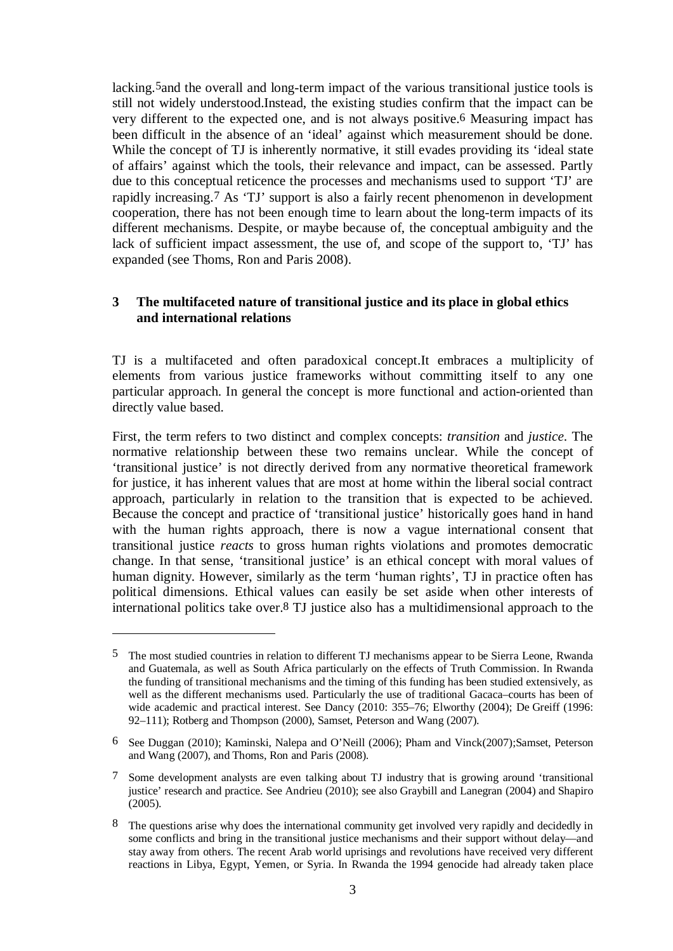lacking.5and the overall and long-term impact of the various transitional justice tools is still not widely understood.Instead, the existing studies confirm that the impact can be very different to the expected one, and is not always positive.6 Measuring impact has been difficult in the absence of an 'ideal' against which measurement should be done. While the concept of TJ is inherently normative, it still evades providing its 'ideal state of affairs' against which the tools, their relevance and impact, can be assessed. Partly due to this conceptual reticence the processes and mechanisms used to support 'TJ' are rapidly increasing.7 As 'TJ' support is also a fairly recent phenomenon in development cooperation, there has not been enough time to learn about the long-term impacts of its different mechanisms. Despite, or maybe because of, the conceptual ambiguity and the lack of sufficient impact assessment, the use of, and scope of the support to, 'TJ' has expanded (see Thoms, Ron and Paris 2008).

## **3 The multifaceted nature of transitional justice and its place in global ethics and international relations**

TJ is a multifaceted and often paradoxical concept.It embraces a multiplicity of elements from various justice frameworks without committing itself to any one particular approach. In general the concept is more functional and action-oriented than directly value based.

First, the term refers to two distinct and complex concepts: *transition* and *justice*. The normative relationship between these two remains unclear. While the concept of 'transitional justice' is not directly derived from any normative theoretical framework for justice, it has inherent values that are most at home within the liberal social contract approach, particularly in relation to the transition that is expected to be achieved. Because the concept and practice of 'transitional justice' historically goes hand in hand with the human rights approach, there is now a vague international consent that transitional justice *reacts* to gross human rights violations and promotes democratic change. In that sense, 'transitional justice' is an ethical concept with moral values of human dignity. However, similarly as the term 'human rights', TJ in practice often has political dimensions. Ethical values can easily be set aside when other interests of international politics take over.8 TJ justice also has a multidimensional approach to the

1

<sup>5</sup> The most studied countries in relation to different TJ mechanisms appear to be Sierra Leone, Rwanda and Guatemala, as well as South Africa particularly on the effects of Truth Commission. In Rwanda the funding of transitional mechanisms and the timing of this funding has been studied extensively, as well as the different mechanisms used. Particularly the use of traditional Gacaca–courts has been of wide academic and practical interest. See Dancy (2010: 355–76; Elworthy (2004); De Greiff (1996: 92–111); Rotberg and Thompson (2000), Samset, Peterson and Wang (2007).

<sup>6</sup> See Duggan (2010); Kaminski, Nalepa and O'Neill (2006); Pham and Vinck(2007);Samset, Peterson and Wang (2007), and Thoms, Ron and Paris (2008).

<sup>7</sup> Some development analysts are even talking about TJ industry that is growing around 'transitional justice' research and practice. See Andrieu (2010); see also Graybill and Lanegran (2004) and Shapiro  $(2005)$ .

<sup>8</sup> The questions arise why does the international community get involved very rapidly and decidedly in some conflicts and bring in the transitional justice mechanisms and their support without delay—and stay away from others. The recent Arab world uprisings and revolutions have received very different reactions in Libya, Egypt, Yemen, or Syria. In Rwanda the 1994 genocide had already taken place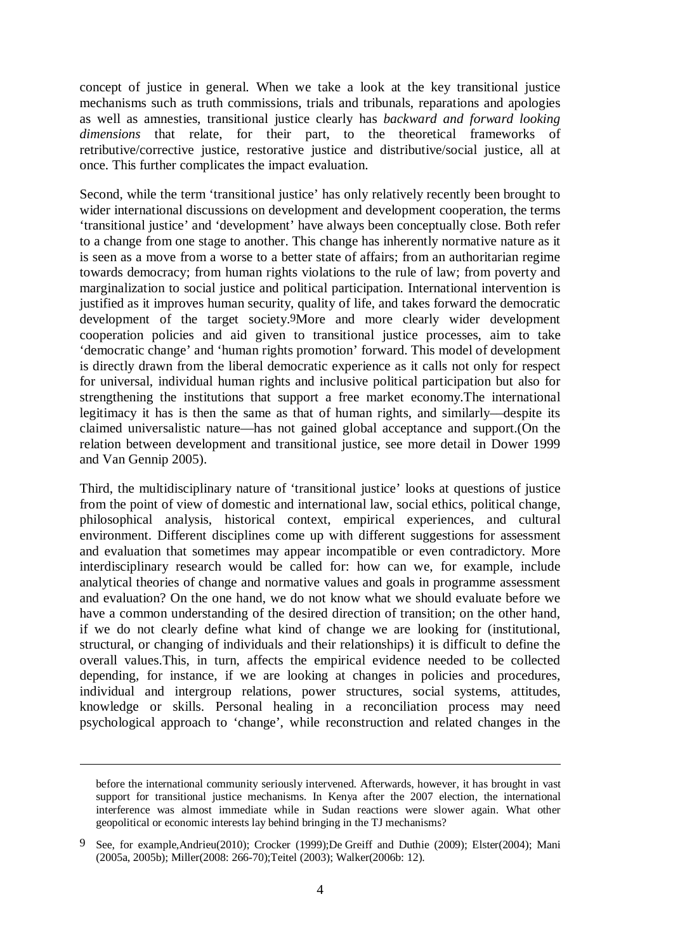concept of justice in general. When we take a look at the key transitional justice mechanisms such as truth commissions, trials and tribunals, reparations and apologies as well as amnesties, transitional justice clearly has *backward and forward looking dimensions* that relate, for their part, to the theoretical frameworks of retributive/corrective justice, restorative justice and distributive/social justice, all at once. This further complicates the impact evaluation.

Second, while the term 'transitional justice' has only relatively recently been brought to wider international discussions on development and development cooperation, the terms 'transitional justice' and 'development' have always been conceptually close. Both refer to a change from one stage to another. This change has inherently normative nature as it is seen as a move from a worse to a better state of affairs; from an authoritarian regime towards democracy; from human rights violations to the rule of law; from poverty and marginalization to social justice and political participation. International intervention is justified as it improves human security, quality of life, and takes forward the democratic development of the target society.9More and more clearly wider development cooperation policies and aid given to transitional justice processes, aim to take 'democratic change' and 'human rights promotion' forward. This model of development is directly drawn from the liberal democratic experience as it calls not only for respect for universal, individual human rights and inclusive political participation but also for strengthening the institutions that support a free market economy.The international legitimacy it has is then the same as that of human rights, and similarly––despite its claimed universalistic nature––has not gained global acceptance and support.(On the relation between development and transitional justice, see more detail in Dower 1999 and Van Gennip 2005).

Third, the multidisciplinary nature of 'transitional justice' looks at questions of justice from the point of view of domestic and international law, social ethics, political change, philosophical analysis, historical context, empirical experiences, and cultural environment. Different disciplines come up with different suggestions for assessment and evaluation that sometimes may appear incompatible or even contradictory. More interdisciplinary research would be called for: how can we, for example, include analytical theories of change and normative values and goals in programme assessment and evaluation? On the one hand, we do not know what we should evaluate before we have a common understanding of the desired direction of transition; on the other hand, if we do not clearly define what kind of change we are looking for (institutional, structural, or changing of individuals and their relationships) it is difficult to define the overall values.This, in turn, affects the empirical evidence needed to be collected depending, for instance, if we are looking at changes in policies and procedures, individual and intergroup relations, power structures, social systems, attitudes, knowledge or skills. Personal healing in a reconciliation process may need psychological approach to 'change', while reconstruction and related changes in the

before the international community seriously intervened. Afterwards, however, it has brought in vast support for transitional justice mechanisms. In Kenya after the 2007 election, the international interference was almost immediate while in Sudan reactions were slower again. What other geopolitical or economic interests lay behind bringing in the TJ mechanisms?

<sup>9</sup> See, for example,Andrieu(2010); Crocker (1999);De Greiff and Duthie (2009); Elster(2004); Mani (2005a, 2005b); Miller(2008: 266-70);Teitel (2003); Walker(2006b: 12).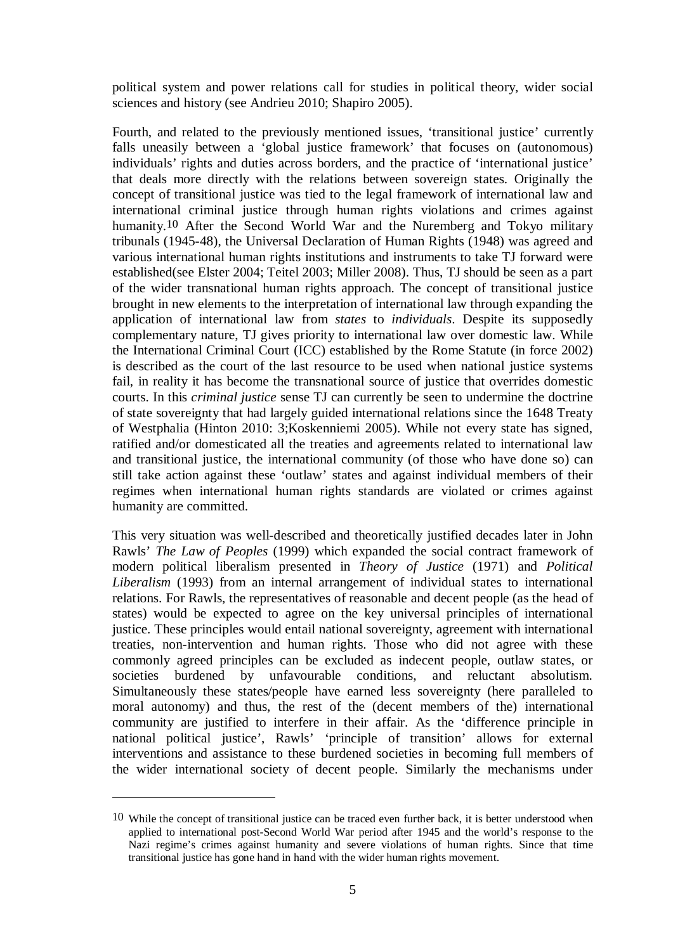political system and power relations call for studies in political theory, wider social sciences and history (see Andrieu 2010; Shapiro 2005).

Fourth, and related to the previously mentioned issues, 'transitional justice' currently falls uneasily between a 'global justice framework' that focuses on (autonomous) individuals' rights and duties across borders, and the practice of 'international justice' that deals more directly with the relations between sovereign states. Originally the concept of transitional justice was tied to the legal framework of international law and international criminal justice through human rights violations and crimes against humanity.10 After the Second World War and the Nuremberg and Tokyo military tribunals (1945-48), the Universal Declaration of Human Rights (1948) was agreed and various international human rights institutions and instruments to take TJ forward were established(see Elster 2004; Teitel 2003; Miller 2008). Thus, TJ should be seen as a part of the wider transnational human rights approach. The concept of transitional justice brought in new elements to the interpretation of international law through expanding the application of international law from *states* to *individuals*. Despite its supposedly complementary nature, TJ gives priority to international law over domestic law. While the International Criminal Court (ICC) established by the Rome Statute (in force 2002) is described as the court of the last resource to be used when national justice systems fail, in reality it has become the transnational source of justice that overrides domestic courts. In this *criminal justice* sense TJ can currently be seen to undermine the doctrine of state sovereignty that had largely guided international relations since the 1648 Treaty of Westphalia (Hinton 2010: 3;Koskenniemi 2005). While not every state has signed, ratified and/or domesticated all the treaties and agreements related to international law and transitional justice, the international community (of those who have done so) can still take action against these 'outlaw' states and against individual members of their regimes when international human rights standards are violated or crimes against humanity are committed.

This very situation was well-described and theoretically justified decades later in John Rawls' *The Law of Peoples* (1999) which expanded the social contract framework of modern political liberalism presented in *Theory of Justice* (1971) and *Political Liberalism* (1993) from an internal arrangement of individual states to international relations. For Rawls, the representatives of reasonable and decent people (as the head of states) would be expected to agree on the key universal principles of international justice. These principles would entail national sovereignty, agreement with international treaties, non-intervention and human rights. Those who did not agree with these commonly agreed principles can be excluded as indecent people, outlaw states, or societies burdened by unfavourable conditions, and reluctant absolutism. Simultaneously these states/people have earned less sovereignty (here paralleled to moral autonomy) and thus, the rest of the (decent members of the) international community are justified to interfere in their affair. As the 'difference principle in national political justice', Rawls' 'principle of transition' allows for external interventions and assistance to these burdened societies in becoming full members of the wider international society of decent people. Similarly the mechanisms under

<u>.</u>

<sup>10</sup> While the concept of transitional justice can be traced even further back, it is better understood when applied to international post-Second World War period after 1945 and the world's response to the Nazi regime's crimes against humanity and severe violations of human rights. Since that time transitional justice has gone hand in hand with the wider human rights movement.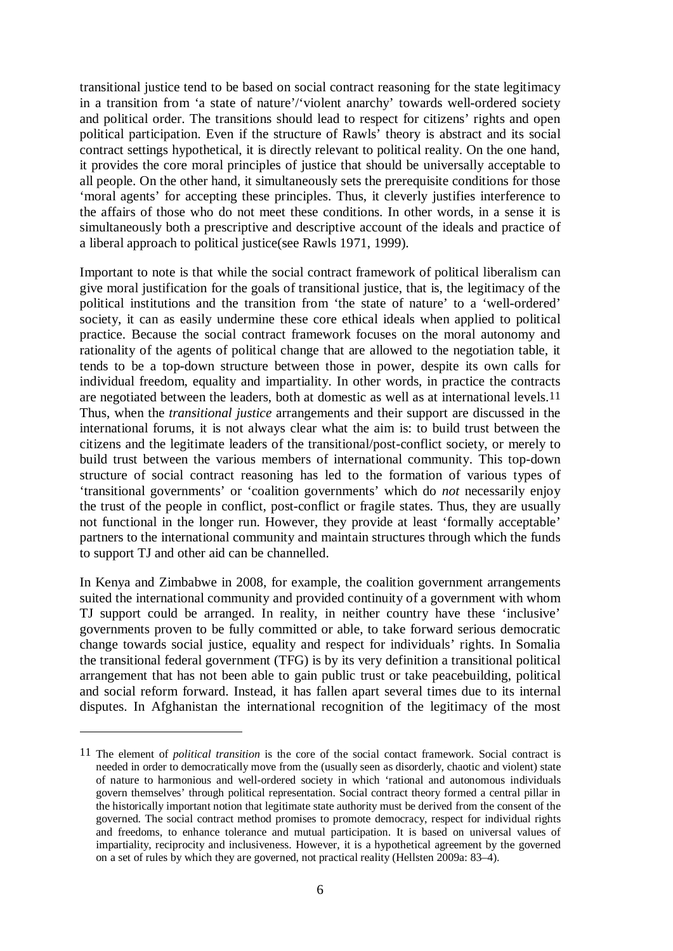transitional justice tend to be based on social contract reasoning for the state legitimacy in a transition from 'a state of nature'/'violent anarchy' towards well-ordered society and political order. The transitions should lead to respect for citizens' rights and open political participation. Even if the structure of Rawls' theory is abstract and its social contract settings hypothetical, it is directly relevant to political reality. On the one hand, it provides the core moral principles of justice that should be universally acceptable to all people. On the other hand, it simultaneously sets the prerequisite conditions for those 'moral agents' for accepting these principles. Thus, it cleverly justifies interference to the affairs of those who do not meet these conditions. In other words, in a sense it is simultaneously both a prescriptive and descriptive account of the ideals and practice of a liberal approach to political justice(see Rawls 1971, 1999).

Important to note is that while the social contract framework of political liberalism can give moral justification for the goals of transitional justice, that is, the legitimacy of the political institutions and the transition from 'the state of nature' to a 'well-ordered' society, it can as easily undermine these core ethical ideals when applied to political practice. Because the social contract framework focuses on the moral autonomy and rationality of the agents of political change that are allowed to the negotiation table, it tends to be a top-down structure between those in power, despite its own calls for individual freedom, equality and impartiality. In other words, in practice the contracts are negotiated between the leaders, both at domestic as well as at international levels.11 Thus, when the *transitional justice* arrangements and their support are discussed in the international forums, it is not always clear what the aim is: to build trust between the citizens and the legitimate leaders of the transitional/post-conflict society, or merely to build trust between the various members of international community. This top-down structure of social contract reasoning has led to the formation of various types of 'transitional governments' or 'coalition governments' which do *not* necessarily enjoy the trust of the people in conflict, post-conflict or fragile states. Thus, they are usually not functional in the longer run. However, they provide at least 'formally acceptable' partners to the international community and maintain structures through which the funds to support TJ and other aid can be channelled.

In Kenya and Zimbabwe in 2008, for example, the coalition government arrangements suited the international community and provided continuity of a government with whom TJ support could be arranged. In reality, in neither country have these 'inclusive' governments proven to be fully committed or able, to take forward serious democratic change towards social justice, equality and respect for individuals' rights. In Somalia the transitional federal government (TFG) is by its very definition a transitional political arrangement that has not been able to gain public trust or take peacebuilding, political and social reform forward. Instead, it has fallen apart several times due to its internal disputes. In Afghanistan the international recognition of the legitimacy of the most

<sup>11</sup> The element of *political transition* is the core of the social contact framework. Social contract is needed in order to democratically move from the (usually seen as disorderly, chaotic and violent) state of nature to harmonious and well-ordered society in which 'rational and autonomous individuals govern themselves' through political representation. Social contract theory formed a central pillar in the historically important notion that legitimate state authority must be derived from the consent of the governed. The social contract method promises to promote democracy, respect for individual rights and freedoms, to enhance tolerance and mutual participation. It is based on universal values of impartiality, reciprocity and inclusiveness. However, it is a hypothetical agreement by the governed on a set of rules by which they are governed, not practical reality (Hellsten 2009a: 83–4).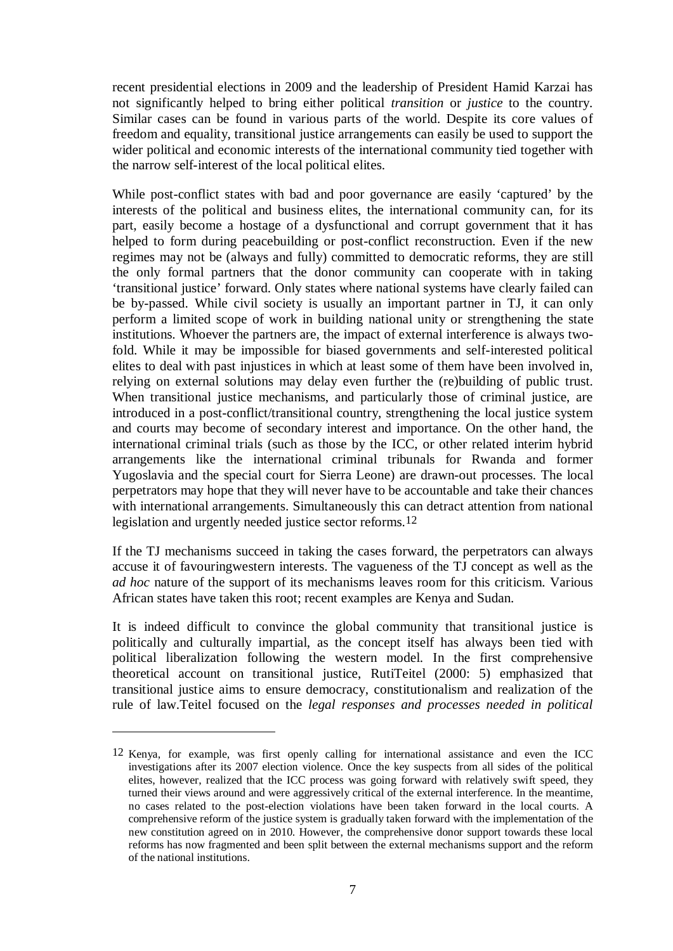recent presidential elections in 2009 and the leadership of President Hamid Karzai has not significantly helped to bring either political *transition* or *justice* to the country. Similar cases can be found in various parts of the world. Despite its core values of freedom and equality, transitional justice arrangements can easily be used to support the wider political and economic interests of the international community tied together with the narrow self-interest of the local political elites.

While post-conflict states with bad and poor governance are easily 'captured' by the interests of the political and business elites, the international community can, for its part, easily become a hostage of a dysfunctional and corrupt government that it has helped to form during peacebuilding or post-conflict reconstruction. Even if the new regimes may not be (always and fully) committed to democratic reforms, they are still the only formal partners that the donor community can cooperate with in taking 'transitional justice' forward. Only states where national systems have clearly failed can be by-passed. While civil society is usually an important partner in TJ, it can only perform a limited scope of work in building national unity or strengthening the state institutions. Whoever the partners are, the impact of external interference is always twofold. While it may be impossible for biased governments and self-interested political elites to deal with past injustices in which at least some of them have been involved in, relying on external solutions may delay even further the (re)building of public trust. When transitional justice mechanisms, and particularly those of criminal justice, are introduced in a post-conflict/transitional country, strengthening the local justice system and courts may become of secondary interest and importance. On the other hand, the international criminal trials (such as those by the ICC, or other related interim hybrid arrangements like the international criminal tribunals for Rwanda and former Yugoslavia and the special court for Sierra Leone) are drawn-out processes. The local perpetrators may hope that they will never have to be accountable and take their chances with international arrangements. Simultaneously this can detract attention from national legislation and urgently needed justice sector reforms.12

If the TJ mechanisms succeed in taking the cases forward, the perpetrators can always accuse it of favouringwestern interests. The vagueness of the TJ concept as well as the *ad hoc* nature of the support of its mechanisms leaves room for this criticism. Various African states have taken this root; recent examples are Kenya and Sudan.

It is indeed difficult to convince the global community that transitional justice is politically and culturally impartial, as the concept itself has always been tied with political liberalization following the western model. In the first comprehensive theoretical account on transitional justice, RutiTeitel (2000: 5) emphasized that transitional justice aims to ensure democracy, constitutionalism and realization of the rule of law.Teitel focused on the *legal responses and processes needed in political* 

1

<sup>12</sup> Kenya, for example, was first openly calling for international assistance and even the ICC investigations after its 2007 election violence. Once the key suspects from all sides of the political elites, however, realized that the ICC process was going forward with relatively swift speed, they turned their views around and were aggressively critical of the external interference. In the meantime, no cases related to the post-election violations have been taken forward in the local courts. A comprehensive reform of the justice system is gradually taken forward with the implementation of the new constitution agreed on in 2010. However, the comprehensive donor support towards these local reforms has now fragmented and been split between the external mechanisms support and the reform of the national institutions.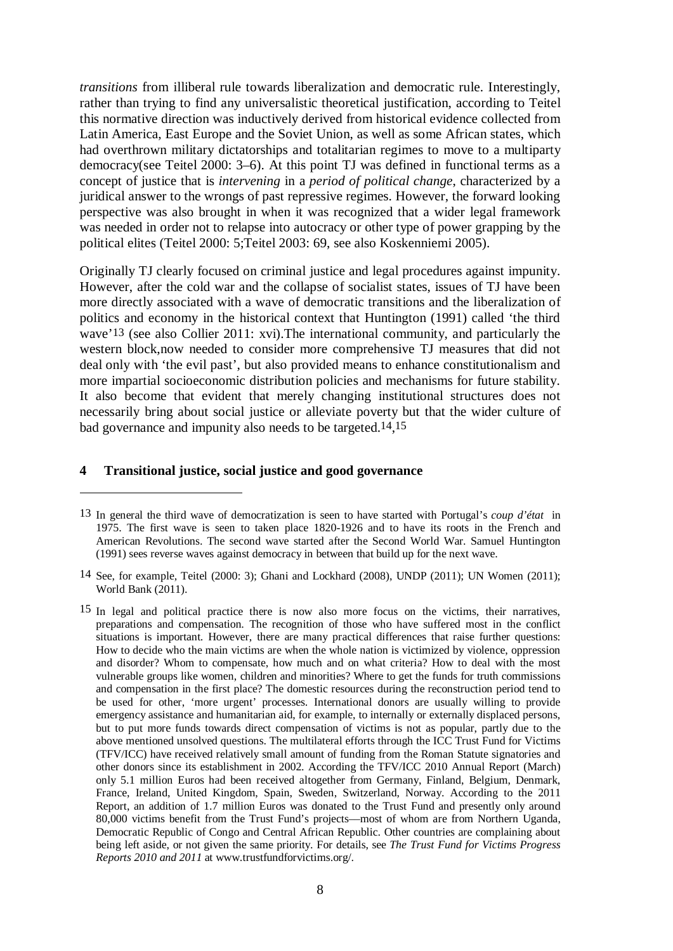*transitions* from illiberal rule towards liberalization and democratic rule. Interestingly, rather than trying to find any universalistic theoretical justification, according to Teitel this normative direction was inductively derived from historical evidence collected from Latin America, East Europe and the Soviet Union, as well as some African states, which had overthrown military dictatorships and totalitarian regimes to move to a multiparty democracy(see Teitel 2000: 3–6). At this point TJ was defined in functional terms as a concept of justice that is *intervening* in a *period of political change*, characterized by a juridical answer to the wrongs of past repressive regimes. However, the forward looking perspective was also brought in when it was recognized that a wider legal framework was needed in order not to relapse into autocracy or other type of power grapping by the political elites (Teitel 2000: 5;Teitel 2003: 69, see also Koskenniemi 2005).

Originally TJ clearly focused on criminal justice and legal procedures against impunity. However, after the cold war and the collapse of socialist states, issues of TJ have been more directly associated with a wave of democratic transitions and the liberalization of politics and economy in the historical context that Huntington (1991) called 'the third wave'13 (see also Collier 2011: xvi).The international community, and particularly the western block,now needed to consider more comprehensive TJ measures that did not deal only with 'the evil past', but also provided means to enhance constitutionalism and more impartial socioeconomic distribution policies and mechanisms for future stability. It also become that evident that merely changing institutional structures does not necessarily bring about social justice or alleviate poverty but that the wider culture of bad governance and impunity also needs to be targeted.14,15

#### **4 Transitional justice, social justice and good governance**

<sup>13</sup> In general the third wave of democratization is seen to have started with Portugal's *coup d'état* in 1975. The first wave is seen to taken place 1820-1926 and to have its roots in the French and American Revolutions. The second wave started after the Second World War. Samuel Huntington (1991) sees reverse waves against democracy in between that build up for the next wave.

<sup>14</sup> See, for example, Teitel (2000: 3); Ghani and Lockhard (2008), UNDP (2011); UN Women (2011); World Bank (2011).

<sup>15</sup> In legal and political practice there is now also more focus on the victims, their narratives, preparations and compensation. The recognition of those who have suffered most in the conflict situations is important. However, there are many practical differences that raise further questions: How to decide who the main victims are when the whole nation is victimized by violence, oppression and disorder? Whom to compensate, how much and on what criteria? How to deal with the most vulnerable groups like women, children and minorities? Where to get the funds for truth commissions and compensation in the first place? The domestic resources during the reconstruction period tend to be used for other, 'more urgent' processes. International donors are usually willing to provide emergency assistance and humanitarian aid, for example, to internally or externally displaced persons, but to put more funds towards direct compensation of victims is not as popular, partly due to the above mentioned unsolved questions. The multilateral efforts through the ICC Trust Fund for Victims (TFV/ICC) have received relatively small amount of funding from the Roman Statute signatories and other donors since its establishment in 2002. According the TFV/ICC 2010 Annual Report (March) only 5.1 million Euros had been received altogether from Germany, Finland, Belgium, Denmark, France, Ireland, United Kingdom, Spain, Sweden, Switzerland, Norway. According to the 2011 Report, an addition of 1.7 million Euros was donated to the Trust Fund and presently only around 80,000 victims benefit from the Trust Fund's projects––most of whom are from Northern Uganda, Democratic Republic of Congo and Central African Republic. Other countries are complaining about being left aside, or not given the same priority. For details, see *The Trust Fund for Victims Progress Reports 2010 and 2011* at www.trustfundforvictims.org/.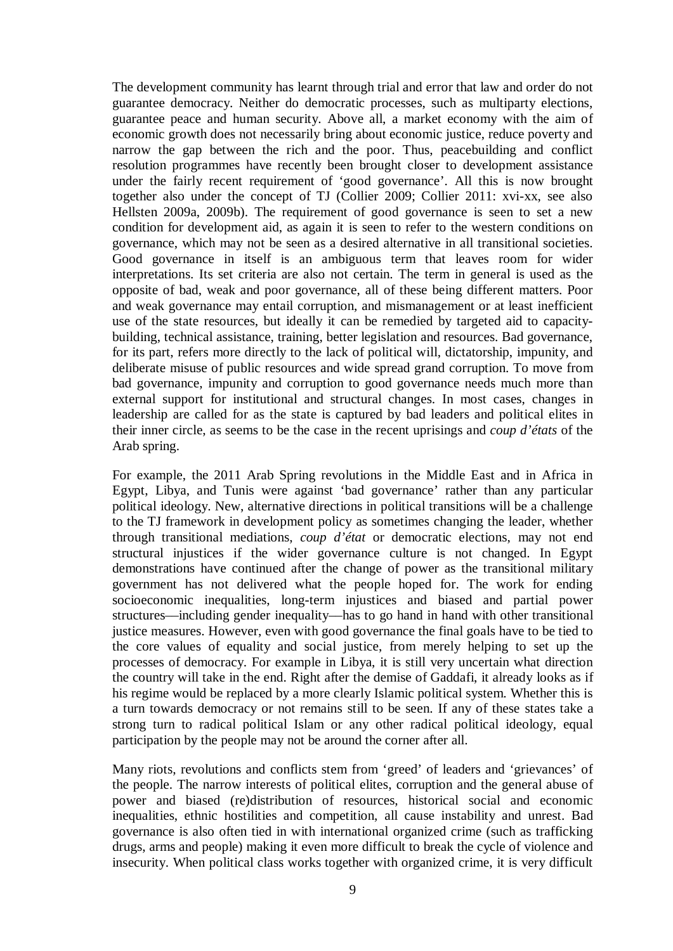The development community has learnt through trial and error that law and order do not guarantee democracy. Neither do democratic processes, such as multiparty elections, guarantee peace and human security. Above all, a market economy with the aim of economic growth does not necessarily bring about economic justice, reduce poverty and narrow the gap between the rich and the poor. Thus, peacebuilding and conflict resolution programmes have recently been brought closer to development assistance under the fairly recent requirement of 'good governance'. All this is now brought together also under the concept of TJ (Collier 2009; Collier 2011: xvi-xx, see also Hellsten 2009a, 2009b). The requirement of good governance is seen to set a new condition for development aid, as again it is seen to refer to the western conditions on governance, which may not be seen as a desired alternative in all transitional societies. Good governance in itself is an ambiguous term that leaves room for wider interpretations. Its set criteria are also not certain. The term in general is used as the opposite of bad, weak and poor governance, all of these being different matters. Poor and weak governance may entail corruption, and mismanagement or at least inefficient use of the state resources, but ideally it can be remedied by targeted aid to capacitybuilding, technical assistance, training, better legislation and resources. Bad governance, for its part, refers more directly to the lack of political will, dictatorship, impunity, and deliberate misuse of public resources and wide spread grand corruption. To move from bad governance, impunity and corruption to good governance needs much more than external support for institutional and structural changes. In most cases, changes in leadership are called for as the state is captured by bad leaders and political elites in their inner circle, as seems to be the case in the recent uprisings and *coup d'états* of the Arab spring.

For example, the 2011 Arab Spring revolutions in the Middle East and in Africa in Egypt, Libya, and Tunis were against 'bad governance' rather than any particular political ideology. New, alternative directions in political transitions will be a challenge to the TJ framework in development policy as sometimes changing the leader, whether through transitional mediations, *coup d'état* or democratic elections, may not end structural injustices if the wider governance culture is not changed. In Egypt demonstrations have continued after the change of power as the transitional military government has not delivered what the people hoped for. The work for ending socioeconomic inequalities, long-term injustices and biased and partial power structures––including gender inequality––has to go hand in hand with other transitional justice measures. However, even with good governance the final goals have to be tied to the core values of equality and social justice, from merely helping to set up the processes of democracy. For example in Libya, it is still very uncertain what direction the country will take in the end. Right after the demise of Gaddafi, it already looks as if his regime would be replaced by a more clearly Islamic political system. Whether this is a turn towards democracy or not remains still to be seen. If any of these states take a strong turn to radical political Islam or any other radical political ideology, equal participation by the people may not be around the corner after all.

Many riots, revolutions and conflicts stem from 'greed' of leaders and 'grievances' of the people. The narrow interests of political elites, corruption and the general abuse of power and biased (re)distribution of resources, historical social and economic inequalities, ethnic hostilities and competition, all cause instability and unrest. Bad governance is also often tied in with international organized crime (such as trafficking drugs, arms and people) making it even more difficult to break the cycle of violence and insecurity. When political class works together with organized crime, it is very difficult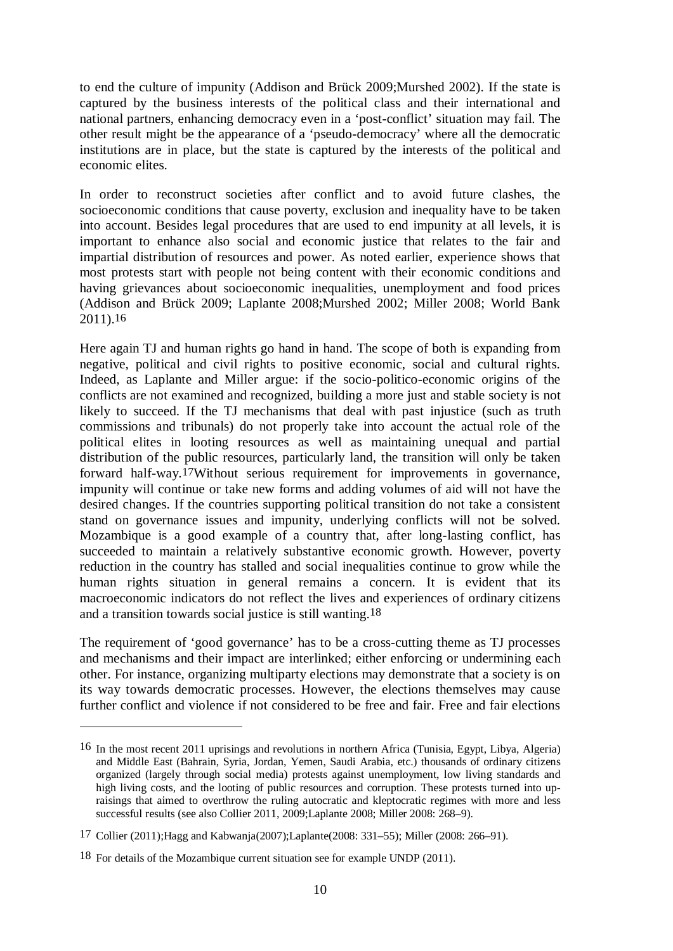to end the culture of impunity (Addison and Brück 2009;Murshed 2002). If the state is captured by the business interests of the political class and their international and national partners, enhancing democracy even in a 'post-conflict' situation may fail. The other result might be the appearance of a 'pseudo-democracy' where all the democratic institutions are in place, but the state is captured by the interests of the political and economic elites.

In order to reconstruct societies after conflict and to avoid future clashes, the socioeconomic conditions that cause poverty, exclusion and inequality have to be taken into account. Besides legal procedures that are used to end impunity at all levels, it is important to enhance also social and economic justice that relates to the fair and impartial distribution of resources and power. As noted earlier, experience shows that most protests start with people not being content with their economic conditions and having grievances about socioeconomic inequalities, unemployment and food prices (Addison and Brück 2009; Laplante 2008;Murshed 2002; Miller 2008; World Bank 2011).16

Here again TJ and human rights go hand in hand. The scope of both is expanding from negative, political and civil rights to positive economic, social and cultural rights. Indeed, as Laplante and Miller argue: if the socio-politico-economic origins of the conflicts are not examined and recognized, building a more just and stable society is not likely to succeed. If the TJ mechanisms that deal with past injustice (such as truth commissions and tribunals) do not properly take into account the actual role of the political elites in looting resources as well as maintaining unequal and partial distribution of the public resources, particularly land, the transition will only be taken forward half-way.17Without serious requirement for improvements in governance, impunity will continue or take new forms and adding volumes of aid will not have the desired changes. If the countries supporting political transition do not take a consistent stand on governance issues and impunity, underlying conflicts will not be solved. Mozambique is a good example of a country that, after long-lasting conflict, has succeeded to maintain a relatively substantive economic growth. However, poverty reduction in the country has stalled and social inequalities continue to grow while the human rights situation in general remains a concern. It is evident that its macroeconomic indicators do not reflect the lives and experiences of ordinary citizens and a transition towards social justice is still wanting.18

The requirement of 'good governance' has to be a cross-cutting theme as TJ processes and mechanisms and their impact are interlinked; either enforcing or undermining each other. For instance, organizing multiparty elections may demonstrate that a society is on its way towards democratic processes. However, the elections themselves may cause further conflict and violence if not considered to be free and fair. Free and fair elections

<sup>16</sup> In the most recent 2011 uprisings and revolutions in northern Africa (Tunisia, Egypt, Libya, Algeria) and Middle East (Bahrain, Syria, Jordan, Yemen, Saudi Arabia, etc.) thousands of ordinary citizens organized (largely through social media) protests against unemployment, low living standards and high living costs, and the looting of public resources and corruption. These protests turned into upraisings that aimed to overthrow the ruling autocratic and kleptocratic regimes with more and less successful results (see also Collier 2011, 2009;Laplante 2008; Miller 2008: 268–9).

<sup>17</sup> Collier (2011);Hagg and Kabwanja(2007);Laplante(2008: 331–55); Miller (2008: 266–91).

<sup>18</sup> For details of the Mozambique current situation see for example UNDP (2011).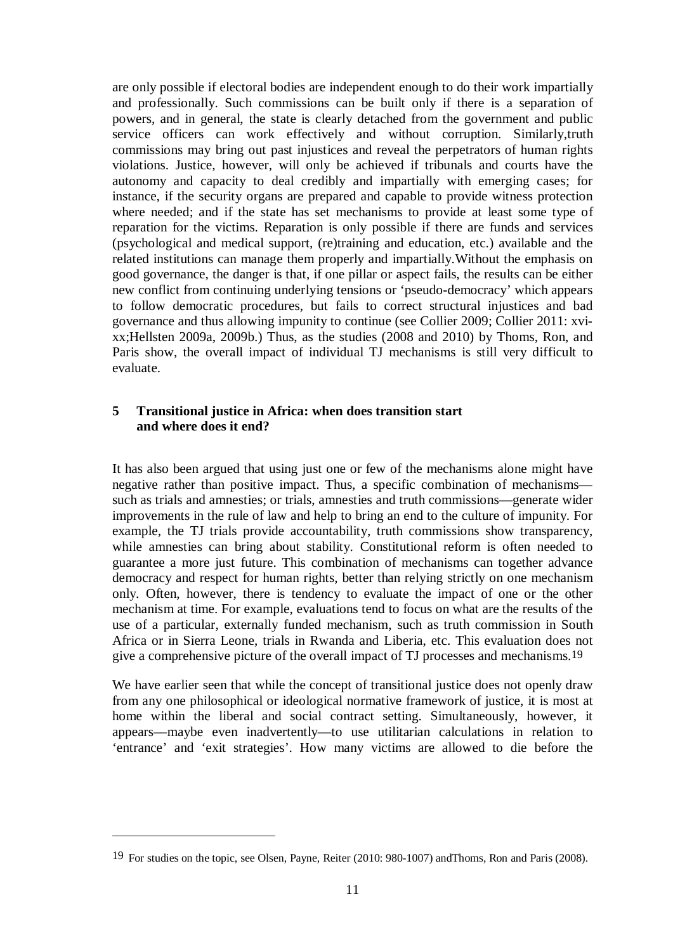are only possible if electoral bodies are independent enough to do their work impartially and professionally. Such commissions can be built only if there is a separation of powers, and in general, the state is clearly detached from the government and public service officers can work effectively and without corruption. Similarly,truth commissions may bring out past injustices and reveal the perpetrators of human rights violations. Justice, however, will only be achieved if tribunals and courts have the autonomy and capacity to deal credibly and impartially with emerging cases; for instance, if the security organs are prepared and capable to provide witness protection where needed; and if the state has set mechanisms to provide at least some type of reparation for the victims. Reparation is only possible if there are funds and services (psychological and medical support, (re)training and education, etc.) available and the related institutions can manage them properly and impartially.Without the emphasis on good governance, the danger is that, if one pillar or aspect fails, the results can be either new conflict from continuing underlying tensions or 'pseudo-democracy' which appears to follow democratic procedures, but fails to correct structural injustices and bad governance and thus allowing impunity to continue (see Collier 2009; Collier 2011: xvixx;Hellsten 2009a, 2009b.) Thus, as the studies (2008 and 2010) by Thoms, Ron, and Paris show, the overall impact of individual TJ mechanisms is still very difficult to evaluate.

## **5 Transitional justice in Africa: when does transition start and where does it end?**

It has also been argued that using just one or few of the mechanisms alone might have negative rather than positive impact. Thus, a specific combination of mechanisms–– such as trials and amnesties; or trials, amnesties and truth commissions––generate wider improvements in the rule of law and help to bring an end to the culture of impunity. For example, the TJ trials provide accountability, truth commissions show transparency, while amnesties can bring about stability. Constitutional reform is often needed to guarantee a more just future. This combination of mechanisms can together advance democracy and respect for human rights, better than relying strictly on one mechanism only. Often, however, there is tendency to evaluate the impact of one or the other mechanism at time. For example, evaluations tend to focus on what are the results of the use of a particular, externally funded mechanism, such as truth commission in South Africa or in Sierra Leone, trials in Rwanda and Liberia, etc. This evaluation does not give a comprehensive picture of the overall impact of TJ processes and mechanisms.19

We have earlier seen that while the concept of transitional justice does not openly draw from any one philosophical or ideological normative framework of justice, it is most at home within the liberal and social contract setting. Simultaneously, however, it appears––maybe even inadvertently––to use utilitarian calculations in relation to 'entrance' and 'exit strategies'. How many victims are allowed to die before the

<u>.</u>

<sup>19</sup> For studies on the topic, see Olsen, Payne, Reiter (2010: 980-1007) andThoms, Ron and Paris (2008).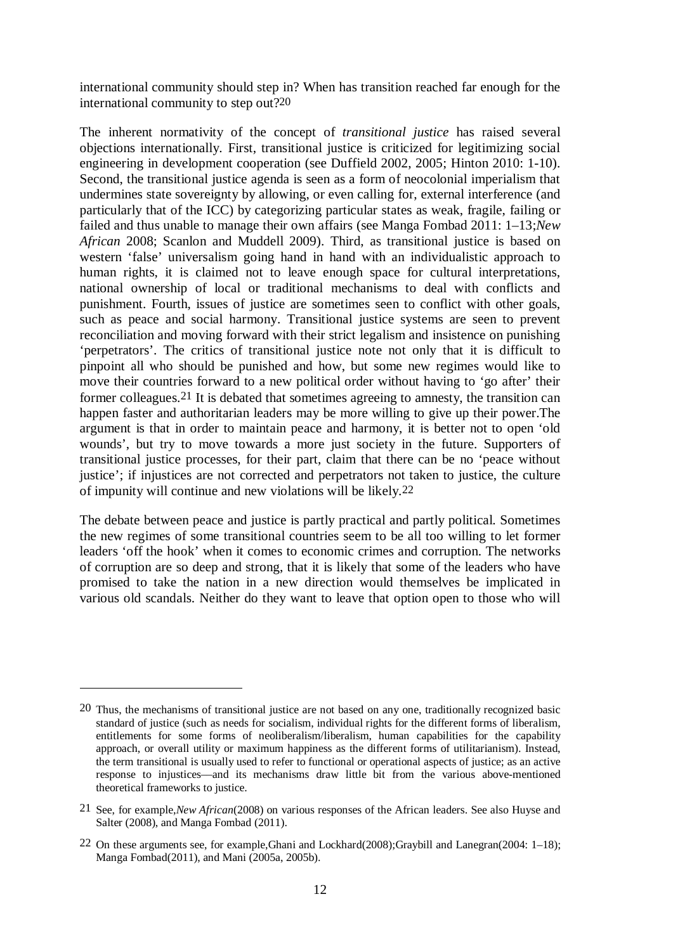international community should step in? When has transition reached far enough for the international community to step out?20

The inherent normativity of the concept of *transitional justice* has raised several objections internationally. First, transitional justice is criticized for legitimizing social engineering in development cooperation (see Duffield 2002, 2005; Hinton 2010: 1-10). Second, the transitional justice agenda is seen as a form of neocolonial imperialism that undermines state sovereignty by allowing, or even calling for, external interference (and particularly that of the ICC) by categorizing particular states as weak, fragile, failing or failed and thus unable to manage their own affairs (see Manga Fombad 2011: 1–13;*New African* 2008; Scanlon and Muddell 2009). Third, as transitional justice is based on western 'false' universalism going hand in hand with an individualistic approach to human rights, it is claimed not to leave enough space for cultural interpretations, national ownership of local or traditional mechanisms to deal with conflicts and punishment. Fourth, issues of justice are sometimes seen to conflict with other goals, such as peace and social harmony. Transitional justice systems are seen to prevent reconciliation and moving forward with their strict legalism and insistence on punishing 'perpetrators'. The critics of transitional justice note not only that it is difficult to pinpoint all who should be punished and how, but some new regimes would like to move their countries forward to a new political order without having to 'go after' their former colleagues.21 It is debated that sometimes agreeing to amnesty, the transition can happen faster and authoritarian leaders may be more willing to give up their power.The argument is that in order to maintain peace and harmony, it is better not to open 'old wounds', but try to move towards a more just society in the future. Supporters of transitional justice processes, for their part, claim that there can be no 'peace without justice'; if injustices are not corrected and perpetrators not taken to justice, the culture of impunity will continue and new violations will be likely.22

The debate between peace and justice is partly practical and partly political. Sometimes the new regimes of some transitional countries seem to be all too willing to let former leaders 'off the hook' when it comes to economic crimes and corruption. The networks of corruption are so deep and strong, that it is likely that some of the leaders who have promised to take the nation in a new direction would themselves be implicated in various old scandals. Neither do they want to leave that option open to those who will

<sup>20</sup> Thus, the mechanisms of transitional justice are not based on any one, traditionally recognized basic standard of justice (such as needs for socialism, individual rights for the different forms of liberalism, entitlements for some forms of neoliberalism/liberalism, human capabilities for the capability approach, or overall utility or maximum happiness as the different forms of utilitarianism). Instead, the term transitional is usually used to refer to functional or operational aspects of justice; as an active response to injustices––and its mechanisms draw little bit from the various above-mentioned theoretical frameworks to justice.

<sup>21</sup> See, for example,*New African*(2008) on various responses of the African leaders. See also Huyse and Salter (2008), and Manga Fombad (2011).

<sup>22</sup> On these arguments see, for example,Ghani and Lockhard(2008);Graybill and Lanegran(2004: 1–18); Manga Fombad(2011), and Mani (2005a, 2005b).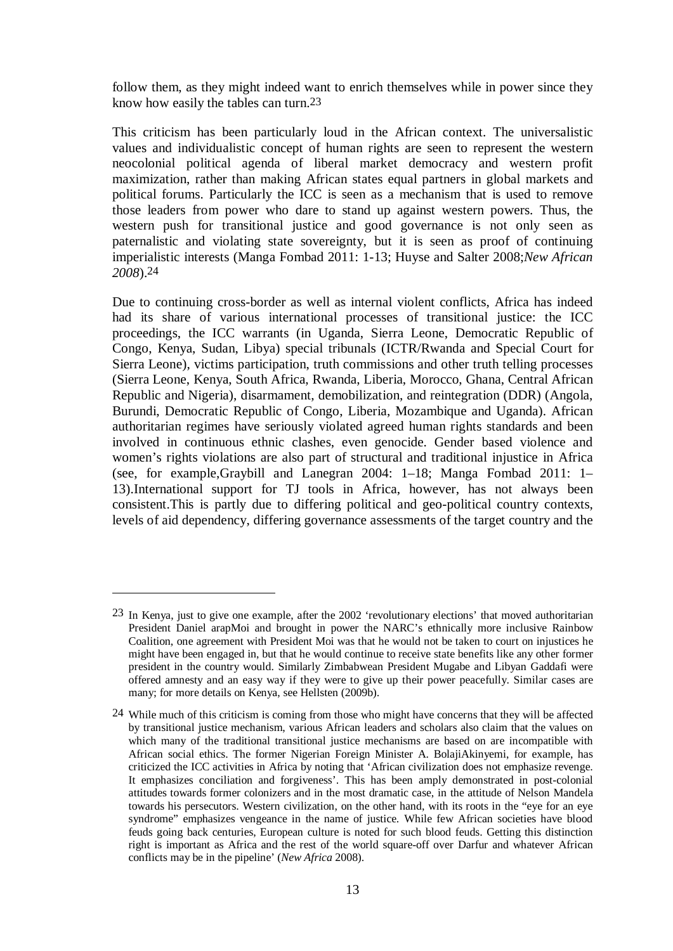follow them, as they might indeed want to enrich themselves while in power since they know how easily the tables can turn.23

This criticism has been particularly loud in the African context. The universalistic values and individualistic concept of human rights are seen to represent the western neocolonial political agenda of liberal market democracy and western profit maximization, rather than making African states equal partners in global markets and political forums. Particularly the ICC is seen as a mechanism that is used to remove those leaders from power who dare to stand up against western powers. Thus, the western push for transitional justice and good governance is not only seen as paternalistic and violating state sovereignty, but it is seen as proof of continuing imperialistic interests (Manga Fombad 2011: 1-13; Huyse and Salter 2008;*New African 2008*).24

Due to continuing cross-border as well as internal violent conflicts, Africa has indeed had its share of various international processes of transitional justice: the ICC proceedings, the ICC warrants (in Uganda, Sierra Leone, Democratic Republic of Congo, Kenya, Sudan, Libya) special tribunals (ICTR/Rwanda and Special Court for Sierra Leone), victims participation, truth commissions and other truth telling processes (Sierra Leone, Kenya, South Africa, Rwanda, Liberia, Morocco, Ghana, Central African Republic and Nigeria), disarmament, demobilization, and reintegration (DDR) (Angola, Burundi, Democratic Republic of Congo, Liberia, Mozambique and Uganda). African authoritarian regimes have seriously violated agreed human rights standards and been involved in continuous ethnic clashes, even genocide. Gender based violence and women's rights violations are also part of structural and traditional injustice in Africa (see, for example,Graybill and Lanegran 2004: 1–18; Manga Fombad 2011: 1– 13).International support for TJ tools in Africa, however, has not always been consistent.This is partly due to differing political and geo-political country contexts, levels of aid dependency, differing governance assessments of the target country and the

1

<sup>23</sup> In Kenya, just to give one example, after the 2002 'revolutionary elections' that moved authoritarian President Daniel arapMoi and brought in power the NARC's ethnically more inclusive Rainbow Coalition, one agreement with President Moi was that he would not be taken to court on injustices he might have been engaged in, but that he would continue to receive state benefits like any other former president in the country would. Similarly Zimbabwean President Mugabe and Libyan Gaddafi were offered amnesty and an easy way if they were to give up their power peacefully. Similar cases are many; for more details on Kenya, see Hellsten (2009b).

<sup>24</sup> While much of this criticism is coming from those who might have concerns that they will be affected by transitional justice mechanism, various African leaders and scholars also claim that the values on which many of the traditional transitional justice mechanisms are based on are incompatible with African social ethics. The former Nigerian Foreign Minister A. BolajiAkinyemi, for example, has criticized the ICC activities in Africa by noting that 'African civilization does not emphasize revenge. It emphasizes conciliation and forgiveness'. This has been amply demonstrated in post-colonial attitudes towards former colonizers and in the most dramatic case, in the attitude of Nelson Mandela towards his persecutors. Western civilization, on the other hand, with its roots in the "eye for an eye syndrome" emphasizes vengeance in the name of justice. While few African societies have blood feuds going back centuries, European culture is noted for such blood feuds. Getting this distinction right is important as Africa and the rest of the world square-off over Darfur and whatever African conflicts may be in the pipeline' (*New Africa* 2008).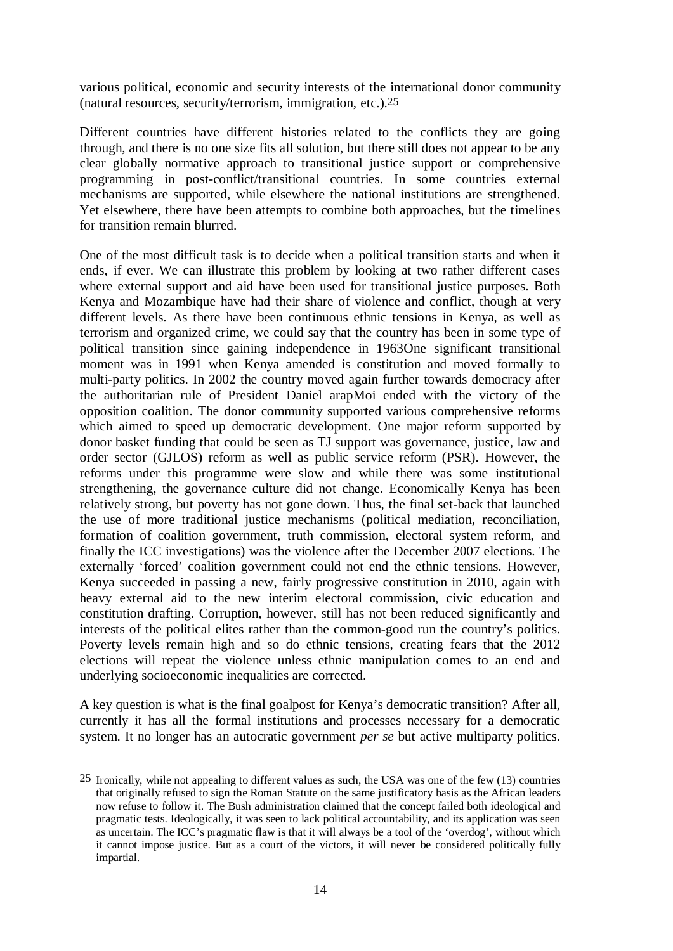various political, economic and security interests of the international donor community (natural resources, security/terrorism, immigration, etc.).25

Different countries have different histories related to the conflicts they are going through, and there is no one size fits all solution, but there still does not appear to be any clear globally normative approach to transitional justice support or comprehensive programming in post-conflict/transitional countries. In some countries external mechanisms are supported, while elsewhere the national institutions are strengthened. Yet elsewhere, there have been attempts to combine both approaches, but the timelines for transition remain blurred.

One of the most difficult task is to decide when a political transition starts and when it ends, if ever. We can illustrate this problem by looking at two rather different cases where external support and aid have been used for transitional justice purposes. Both Kenya and Mozambique have had their share of violence and conflict, though at very different levels. As there have been continuous ethnic tensions in Kenya, as well as terrorism and organized crime, we could say that the country has been in some type of political transition since gaining independence in 1963One significant transitional moment was in 1991 when Kenya amended is constitution and moved formally to multi-party politics. In 2002 the country moved again further towards democracy after the authoritarian rule of President Daniel arapMoi ended with the victory of the opposition coalition. The donor community supported various comprehensive reforms which aimed to speed up democratic development. One major reform supported by donor basket funding that could be seen as TJ support was governance, justice, law and order sector (GJLOS) reform as well as public service reform (PSR). However, the reforms under this programme were slow and while there was some institutional strengthening, the governance culture did not change. Economically Kenya has been relatively strong, but poverty has not gone down. Thus, the final set-back that launched the use of more traditional justice mechanisms (political mediation, reconciliation, formation of coalition government, truth commission, electoral system reform, and finally the ICC investigations) was the violence after the December 2007 elections. The externally 'forced' coalition government could not end the ethnic tensions. However, Kenya succeeded in passing a new, fairly progressive constitution in 2010, again with heavy external aid to the new interim electoral commission, civic education and constitution drafting. Corruption, however, still has not been reduced significantly and interests of the political elites rather than the common-good run the country's politics. Poverty levels remain high and so do ethnic tensions, creating fears that the 2012 elections will repeat the violence unless ethnic manipulation comes to an end and underlying socioeconomic inequalities are corrected.

A key question is what is the final goalpost for Kenya's democratic transition? After all, currently it has all the formal institutions and processes necessary for a democratic system. It no longer has an autocratic government *per se* but active multiparty politics.

<sup>25</sup> Ironically, while not appealing to different values as such, the USA was one of the few (13) countries that originally refused to sign the Roman Statute on the same justificatory basis as the African leaders now refuse to follow it. The Bush administration claimed that the concept failed both ideological and pragmatic tests. Ideologically, it was seen to lack political accountability, and its application was seen as uncertain. The ICC's pragmatic flaw is that it will always be a tool of the 'overdog', without which it cannot impose justice. But as a court of the victors, it will never be considered politically fully impartial.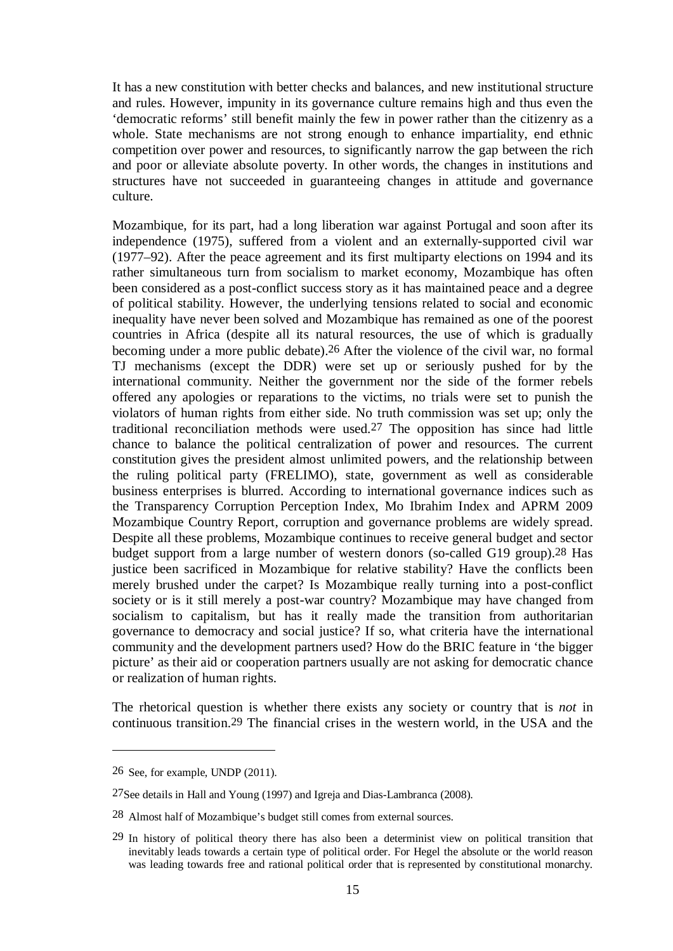It has a new constitution with better checks and balances, and new institutional structure and rules. However, impunity in its governance culture remains high and thus even the 'democratic reforms' still benefit mainly the few in power rather than the citizenry as a whole. State mechanisms are not strong enough to enhance impartiality, end ethnic competition over power and resources, to significantly narrow the gap between the rich and poor or alleviate absolute poverty. In other words, the changes in institutions and structures have not succeeded in guaranteeing changes in attitude and governance culture.

Mozambique, for its part, had a long liberation war against Portugal and soon after its independence (1975), suffered from a violent and an externally-supported civil war (1977–92). After the peace agreement and its first multiparty elections on 1994 and its rather simultaneous turn from socialism to market economy, Mozambique has often been considered as a post-conflict success story as it has maintained peace and a degree of political stability. However, the underlying tensions related to social and economic inequality have never been solved and Mozambique has remained as one of the poorest countries in Africa (despite all its natural resources, the use of which is gradually becoming under a more public debate).26 After the violence of the civil war, no formal TJ mechanisms (except the DDR) were set up or seriously pushed for by the international community. Neither the government nor the side of the former rebels offered any apologies or reparations to the victims, no trials were set to punish the violators of human rights from either side. No truth commission was set up; only the traditional reconciliation methods were used.27 The opposition has since had little chance to balance the political centralization of power and resources. The current constitution gives the president almost unlimited powers, and the relationship between the ruling political party (FRELIMO), state, government as well as considerable business enterprises is blurred. According to international governance indices such as the Transparency Corruption Perception Index, Mo Ibrahim Index and APRM 2009 Mozambique Country Report, corruption and governance problems are widely spread. Despite all these problems, Mozambique continues to receive general budget and sector budget support from a large number of western donors (so-called G19 group).28 Has justice been sacrificed in Mozambique for relative stability? Have the conflicts been merely brushed under the carpet? Is Mozambique really turning into a post-conflict society or is it still merely a post-war country? Mozambique may have changed from socialism to capitalism, but has it really made the transition from authoritarian governance to democracy and social justice? If so, what criteria have the international community and the development partners used? How do the BRIC feature in 'the bigger picture' as their aid or cooperation partners usually are not asking for democratic chance or realization of human rights.

The rhetorical question is whether there exists any society or country that is *not* in continuous transition.29 The financial crises in the western world, in the USA and the

1

<sup>26</sup> See, for example, UNDP (2011).

<sup>27</sup>See details in Hall and Young (1997) and Igreja and Dias-Lambranca (2008).

<sup>28</sup> Almost half of Mozambique's budget still comes from external sources.

<sup>29</sup> In history of political theory there has also been a determinist view on political transition that inevitably leads towards a certain type of political order. For Hegel the absolute or the world reason was leading towards free and rational political order that is represented by constitutional monarchy.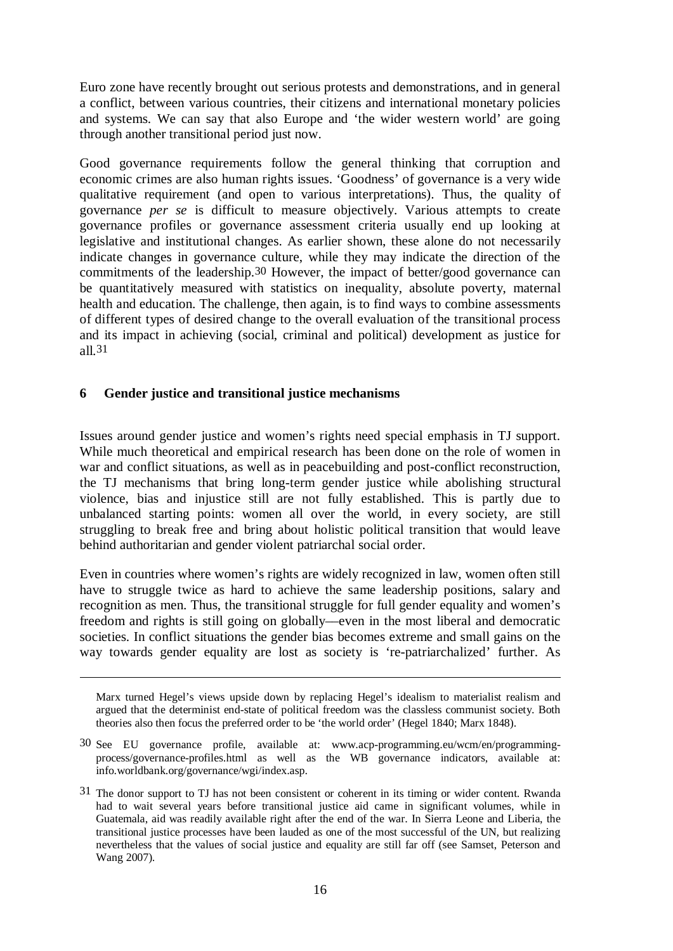Euro zone have recently brought out serious protests and demonstrations, and in general a conflict, between various countries, their citizens and international monetary policies and systems. We can say that also Europe and 'the wider western world' are going through another transitional period just now.

Good governance requirements follow the general thinking that corruption and economic crimes are also human rights issues. 'Goodness' of governance is a very wide qualitative requirement (and open to various interpretations). Thus, the quality of governance *per se* is difficult to measure objectively. Various attempts to create governance profiles or governance assessment criteria usually end up looking at legislative and institutional changes. As earlier shown, these alone do not necessarily indicate changes in governance culture, while they may indicate the direction of the commitments of the leadership.30 However, the impact of better/good governance can be quantitatively measured with statistics on inequality, absolute poverty, maternal health and education. The challenge, then again, is to find ways to combine assessments of different types of desired change to the overall evaluation of the transitional process and its impact in achieving (social, criminal and political) development as justice for all.31

## **6 Gender justice and transitional justice mechanisms**

 $\overline{a}$ 

Issues around gender justice and women's rights need special emphasis in TJ support. While much theoretical and empirical research has been done on the role of women in war and conflict situations, as well as in peacebuilding and post-conflict reconstruction, the TJ mechanisms that bring long-term gender justice while abolishing structural violence, bias and injustice still are not fully established. This is partly due to unbalanced starting points: women all over the world, in every society, are still struggling to break free and bring about holistic political transition that would leave behind authoritarian and gender violent patriarchal social order.

Even in countries where women's rights are widely recognized in law, women often still have to struggle twice as hard to achieve the same leadership positions, salary and recognition as men. Thus, the transitional struggle for full gender equality and women's freedom and rights is still going on globally––even in the most liberal and democratic societies. In conflict situations the gender bias becomes extreme and small gains on the way towards gender equality are lost as society is 're-patriarchalized' further. As

Marx turned Hegel's views upside down by replacing Hegel's idealism to materialist realism and argued that the determinist end-state of political freedom was the classless communist society. Both theories also then focus the preferred order to be 'the world order' (Hegel 1840; Marx 1848).

<sup>30</sup> See EU governance profile, available at: www.acp-programming.eu/wcm/en/programmingprocess/governance-profiles.html as well as the WB governance indicators, available at: info.worldbank.org/governance/wgi/index.asp.

<sup>31</sup> The donor support to TJ has not been consistent or coherent in its timing or wider content. Rwanda had to wait several years before transitional justice aid came in significant volumes, while in Guatemala, aid was readily available right after the end of the war. In Sierra Leone and Liberia, the transitional justice processes have been lauded as one of the most successful of the UN, but realizing nevertheless that the values of social justice and equality are still far off (see Samset, Peterson and Wang 2007).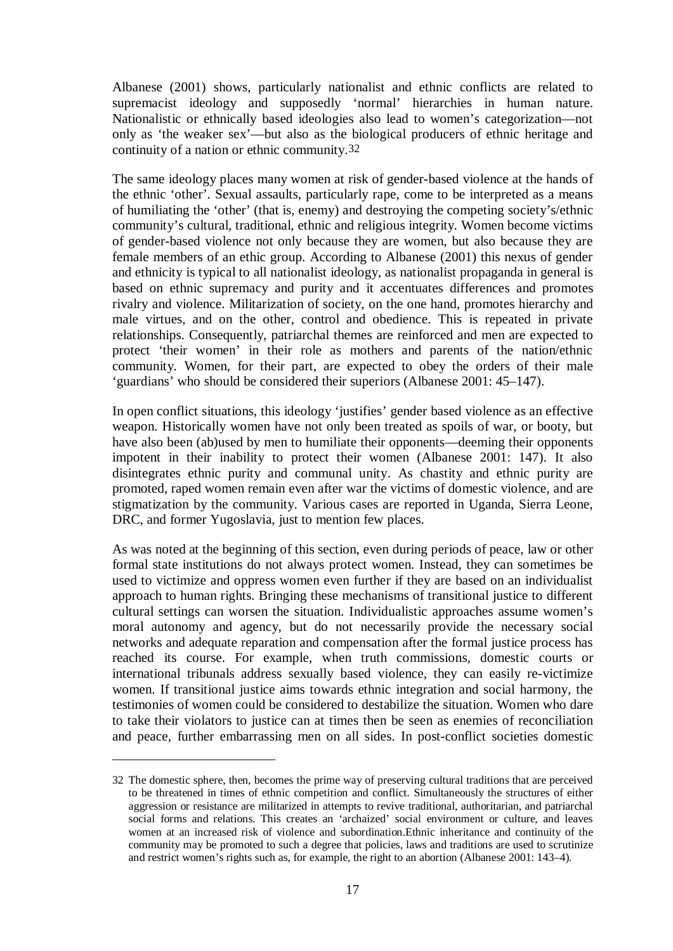Albanese (2001) shows, particularly nationalist and ethnic conflicts are related to supremacist ideology and supposedly 'normal' hierarchies in human nature. Nationalistic or ethnically based ideologies also lead to women's categorization––not only as 'the weaker sex'––but also as the biological producers of ethnic heritage and continuity of a nation or ethnic community.32

The same ideology places many women at risk of gender-based violence at the hands of the ethnic 'other'. Sexual assaults, particularly rape, come to be interpreted as a means of humiliating the 'other' (that is, enemy) and destroying the competing society's/ethnic community's cultural, traditional, ethnic and religious integrity. Women become victims of gender-based violence not only because they are women, but also because they are female members of an ethic group. According to Albanese (2001) this nexus of gender and ethnicity is typical to all nationalist ideology, as nationalist propaganda in general is based on ethnic supremacy and purity and it accentuates differences and promotes rivalry and violence. Militarization of society, on the one hand, promotes hierarchy and male virtues, and on the other, control and obedience. This is repeated in private relationships. Consequently, patriarchal themes are reinforced and men are expected to protect 'their women' in their role as mothers and parents of the nation/ethnic community. Women, for their part, are expected to obey the orders of their male 'guardians' who should be considered their superiors (Albanese 2001: 45–147).

In open conflict situations, this ideology 'justifies' gender based violence as an effective weapon. Historically women have not only been treated as spoils of war, or booty, but have also been (ab)used by men to humiliate their opponents—deeming their opponents impotent in their inability to protect their women (Albanese 2001: 147). It also disintegrates ethnic purity and communal unity. As chastity and ethnic purity are promoted, raped women remain even after war the victims of domestic violence, and are stigmatization by the community. Various cases are reported in Uganda, Sierra Leone, DRC, and former Yugoslavia, just to mention few places.

As was noted at the beginning of this section, even during periods of peace, law or other formal state institutions do not always protect women. Instead, they can sometimes be used to victimize and oppress women even further if they are based on an individualist approach to human rights. Bringing these mechanisms of transitional justice to different cultural settings can worsen the situation. Individualistic approaches assume women's moral autonomy and agency, but do not necessarily provide the necessary social networks and adequate reparation and compensation after the formal justice process has reached its course. For example, when truth commissions, domestic courts or international tribunals address sexually based violence, they can easily re-victimize women. If transitional justice aims towards ethnic integration and social harmony, the testimonies of women could be considered to destabilize the situation. Women who dare to take their violators to justice can at times then be seen as enemies of reconciliation and peace, further embarrassing men on all sides. In post-conflict societies domestic

<u>.</u>

<sup>32</sup> The domestic sphere, then, becomes the prime way of preserving cultural traditions that are perceived to be threatened in times of ethnic competition and conflict. Simultaneously the structures of either aggression or resistance are militarized in attempts to revive traditional, authoritarian, and patriarchal social forms and relations. This creates an 'archaized' social environment or culture, and leaves women at an increased risk of violence and subordination.Ethnic inheritance and continuity of the community may be promoted to such a degree that policies, laws and traditions are used to scrutinize and restrict women's rights such as, for example, the right to an abortion (Albanese 2001: 143–4).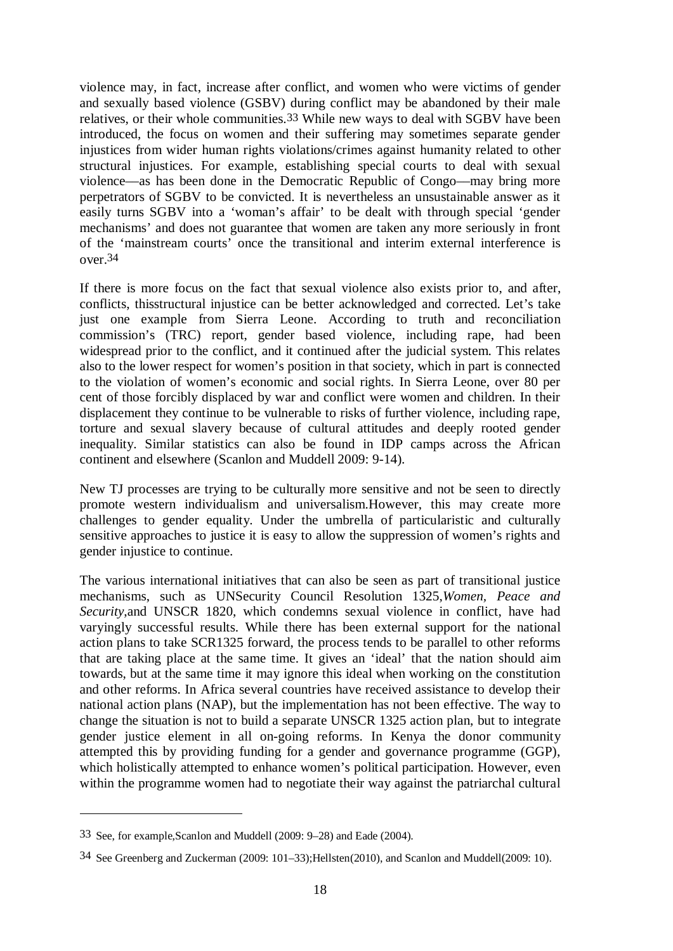violence may, in fact, increase after conflict, and women who were victims of gender and sexually based violence (GSBV) during conflict may be abandoned by their male relatives, or their whole communities.33 While new ways to deal with SGBV have been introduced, the focus on women and their suffering may sometimes separate gender injustices from wider human rights violations/crimes against humanity related to other structural injustices. For example, establishing special courts to deal with sexual violence––as has been done in the Democratic Republic of Congo––may bring more perpetrators of SGBV to be convicted. It is nevertheless an unsustainable answer as it easily turns SGBV into a 'woman's affair' to be dealt with through special 'gender mechanisms' and does not guarantee that women are taken any more seriously in front of the 'mainstream courts' once the transitional and interim external interference is over.34

If there is more focus on the fact that sexual violence also exists prior to, and after, conflicts, thisstructural injustice can be better acknowledged and corrected. Let's take just one example from Sierra Leone. According to truth and reconciliation commission's (TRC) report, gender based violence, including rape, had been widespread prior to the conflict, and it continued after the judicial system. This relates also to the lower respect for women's position in that society, which in part is connected to the violation of women's economic and social rights. In Sierra Leone, over 80 per cent of those forcibly displaced by war and conflict were women and children. In their displacement they continue to be vulnerable to risks of further violence, including rape, torture and sexual slavery because of cultural attitudes and deeply rooted gender inequality. Similar statistics can also be found in IDP camps across the African continent and elsewhere (Scanlon and Muddell 2009: 9-14).

New TJ processes are trying to be culturally more sensitive and not be seen to directly promote western individualism and universalism.However, this may create more challenges to gender equality. Under the umbrella of particularistic and culturally sensitive approaches to justice it is easy to allow the suppression of women's rights and gender injustice to continue.

The various international initiatives that can also be seen as part of transitional justice mechanisms, such as UNSecurity Council Resolution 1325,*Women, Peace and Security*,and UNSCR 1820, which condemns sexual violence in conflict, have had varyingly successful results. While there has been external support for the national action plans to take SCR1325 forward, the process tends to be parallel to other reforms that are taking place at the same time. It gives an 'ideal' that the nation should aim towards, but at the same time it may ignore this ideal when working on the constitution and other reforms. In Africa several countries have received assistance to develop their national action plans (NAP), but the implementation has not been effective. The way to change the situation is not to build a separate UNSCR 1325 action plan, but to integrate gender justice element in all on-going reforms. In Kenya the donor community attempted this by providing funding for a gender and governance programme (GGP), which holistically attempted to enhance women's political participation. However, even within the programme women had to negotiate their way against the patriarchal cultural

<sup>33</sup> See, for example,Scanlon and Muddell (2009: 9–28) and Eade (2004).

<sup>34</sup> See Greenberg and Zuckerman (2009: 101–33);Hellsten(2010), and Scanlon and Muddell(2009: 10).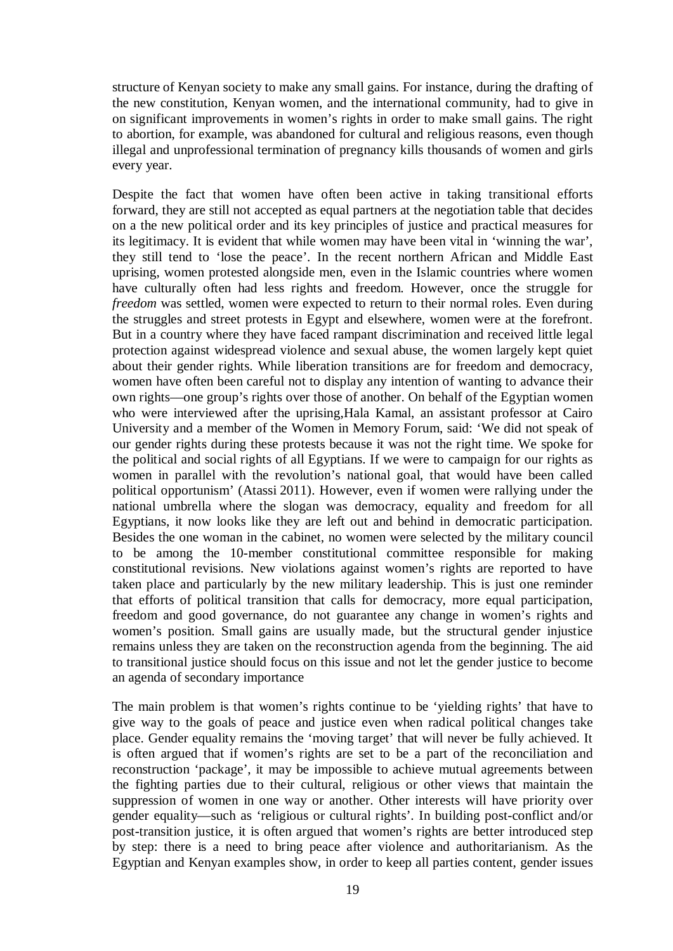structure of Kenyan society to make any small gains. For instance, during the drafting of the new constitution, Kenyan women, and the international community, had to give in on significant improvements in women's rights in order to make small gains. The right to abortion, for example, was abandoned for cultural and religious reasons, even though illegal and unprofessional termination of pregnancy kills thousands of women and girls every year.

Despite the fact that women have often been active in taking transitional efforts forward, they are still not accepted as equal partners at the negotiation table that decides on a the new political order and its key principles of justice and practical measures for its legitimacy. It is evident that while women may have been vital in 'winning the war', they still tend to 'lose the peace'. In the recent northern African and Middle East uprising, women protested alongside men, even in the Islamic countries where women have culturally often had less rights and freedom. However, once the struggle for *freedom* was settled, women were expected to return to their normal roles. Even during the struggles and street protests in Egypt and elsewhere, women were at the forefront. But in a country where they have faced rampant discrimination and received little legal protection against widespread violence and sexual abuse, the women largely kept quiet about their gender rights. While liberation transitions are for freedom and democracy, women have often been careful not to display any intention of wanting to advance their own rights––one group's rights over those of another. On behalf of the Egyptian women who were interviewed after the uprising,Hala Kamal, an assistant professor at Cairo University and a member of the Women in Memory Forum, said: 'We did not speak of our gender rights during these protests because it was not the right time. We spoke for the political and social rights of all Egyptians. If we were to campaign for our rights as women in parallel with the revolution's national goal, that would have been called political opportunism' (Atassi 2011). However, even if women were rallying under the national umbrella where the slogan was democracy, equality and freedom for all Egyptians, it now looks like they are left out and behind in democratic participation. Besides the one woman in the cabinet, no women were selected by the military council to be among the 10-member constitutional committee responsible for making constitutional revisions. New violations against women's rights are reported to have taken place and particularly by the new military leadership. This is just one reminder that efforts of political transition that calls for democracy, more equal participation, freedom and good governance, do not guarantee any change in women's rights and women's position. Small gains are usually made, but the structural gender injustice remains unless they are taken on the reconstruction agenda from the beginning. The aid to transitional justice should focus on this issue and not let the gender justice to become an agenda of secondary importance

The main problem is that women's rights continue to be 'yielding rights' that have to give way to the goals of peace and justice even when radical political changes take place. Gender equality remains the 'moving target' that will never be fully achieved. It is often argued that if women's rights are set to be a part of the reconciliation and reconstruction 'package', it may be impossible to achieve mutual agreements between the fighting parties due to their cultural, religious or other views that maintain the suppression of women in one way or another. Other interests will have priority over gender equality––such as 'religious or cultural rights'. In building post-conflict and/or post-transition justice, it is often argued that women's rights are better introduced step by step: there is a need to bring peace after violence and authoritarianism. As the Egyptian and Kenyan examples show, in order to keep all parties content, gender issues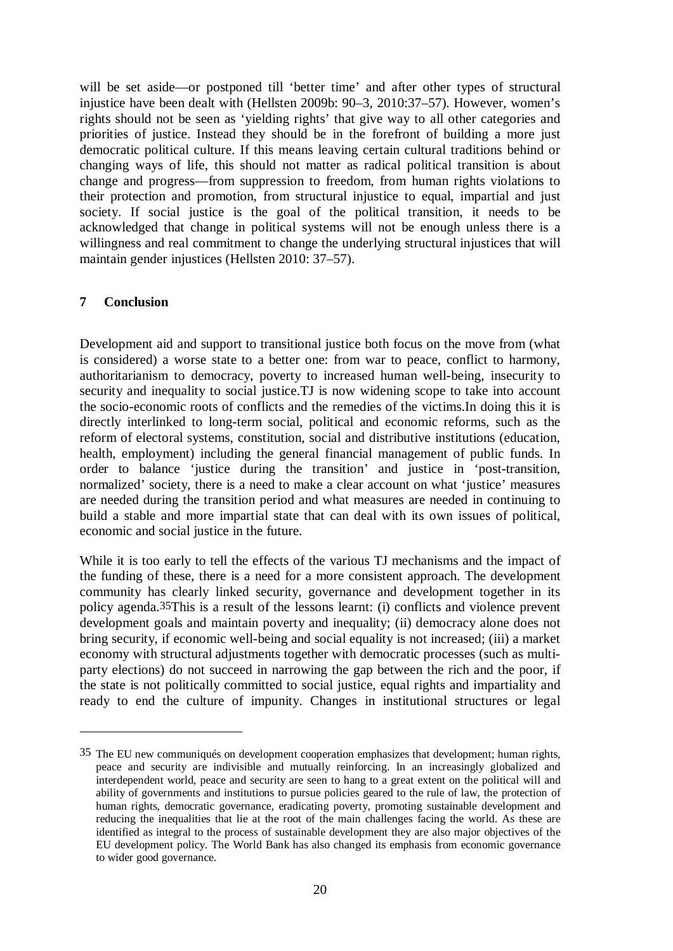will be set aside—or postponed till 'better time' and after other types of structural injustice have been dealt with (Hellsten 2009b: 90–3, 2010:37–57). However, women's rights should not be seen as 'yielding rights' that give way to all other categories and priorities of justice. Instead they should be in the forefront of building a more just democratic political culture. If this means leaving certain cultural traditions behind or changing ways of life, this should not matter as radical political transition is about change and progress––from suppression to freedom, from human rights violations to their protection and promotion, from structural injustice to equal, impartial and just society. If social justice is the goal of the political transition, it needs to be acknowledged that change in political systems will not be enough unless there is a willingness and real commitment to change the underlying structural injustices that will maintain gender injustices (Hellsten 2010: 37–57).

## **7 Conclusion**

 $\overline{a}$ 

Development aid and support to transitional justice both focus on the move from (what is considered) a worse state to a better one: from war to peace, conflict to harmony, authoritarianism to democracy, poverty to increased human well-being, insecurity to security and inequality to social justice.TJ is now widening scope to take into account the socio-economic roots of conflicts and the remedies of the victims.In doing this it is directly interlinked to long-term social, political and economic reforms, such as the reform of electoral systems, constitution, social and distributive institutions (education, health, employment) including the general financial management of public funds. In order to balance 'justice during the transition' and justice in 'post-transition, normalized' society, there is a need to make a clear account on what 'justice' measures are needed during the transition period and what measures are needed in continuing to build a stable and more impartial state that can deal with its own issues of political, economic and social justice in the future.

While it is too early to tell the effects of the various TJ mechanisms and the impact of the funding of these, there is a need for a more consistent approach. The development community has clearly linked security, governance and development together in its policy agenda.35This is a result of the lessons learnt: (i) conflicts and violence prevent development goals and maintain poverty and inequality; (ii) democracy alone does not bring security, if economic well-being and social equality is not increased; (iii) a market economy with structural adjustments together with democratic processes (such as multiparty elections) do not succeed in narrowing the gap between the rich and the poor, if the state is not politically committed to social justice, equal rights and impartiality and ready to end the culture of impunity. Changes in institutional structures or legal

<sup>35</sup> The EU new communiqués on development cooperation emphasizes that development; human rights, peace and security are indivisible and mutually reinforcing. In an increasingly globalized and interdependent world, peace and security are seen to hang to a great extent on the political will and ability of governments and institutions to pursue policies geared to the rule of law, the protection of human rights, democratic governance, eradicating poverty, promoting sustainable development and reducing the inequalities that lie at the root of the main challenges facing the world. As these are identified as integral to the process of sustainable development they are also major objectives of the EU development policy. The World Bank has also changed its emphasis from economic governance to wider good governance.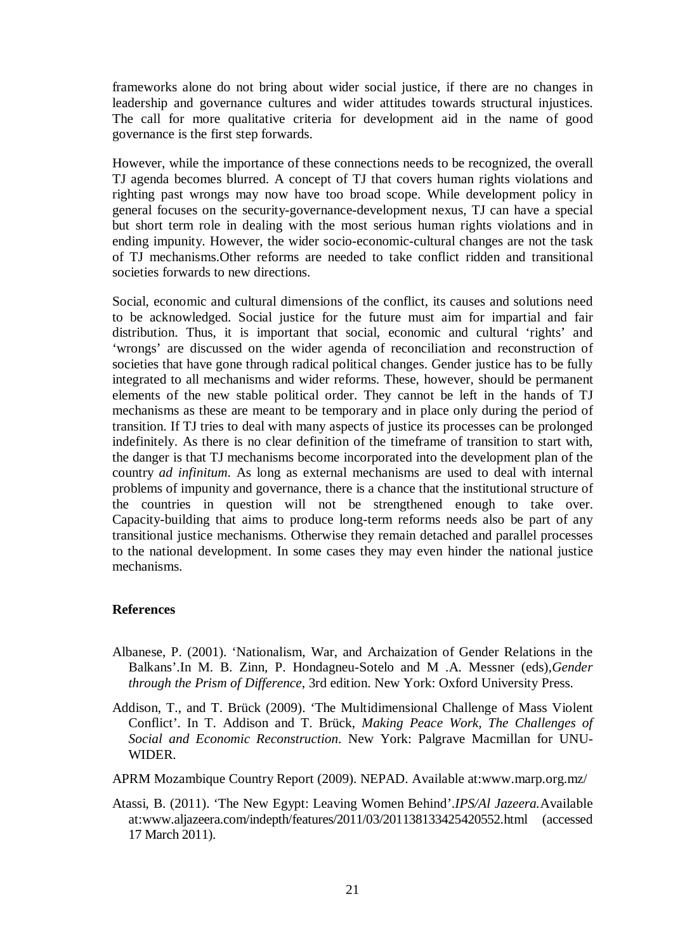frameworks alone do not bring about wider social justice, if there are no changes in leadership and governance cultures and wider attitudes towards structural injustices. The call for more qualitative criteria for development aid in the name of good governance is the first step forwards.

However, while the importance of these connections needs to be recognized, the overall TJ agenda becomes blurred. A concept of TJ that covers human rights violations and righting past wrongs may now have too broad scope. While development policy in general focuses on the security-governance-development nexus, TJ can have a special but short term role in dealing with the most serious human rights violations and in ending impunity. However, the wider socio-economic-cultural changes are not the task of TJ mechanisms.Other reforms are needed to take conflict ridden and transitional societies forwards to new directions.

Social, economic and cultural dimensions of the conflict, its causes and solutions need to be acknowledged. Social justice for the future must aim for impartial and fair distribution. Thus, it is important that social, economic and cultural 'rights' and 'wrongs' are discussed on the wider agenda of reconciliation and reconstruction of societies that have gone through radical political changes. Gender justice has to be fully integrated to all mechanisms and wider reforms. These, however, should be permanent elements of the new stable political order. They cannot be left in the hands of TJ mechanisms as these are meant to be temporary and in place only during the period of transition. If TJ tries to deal with many aspects of justice its processes can be prolonged indefinitely. As there is no clear definition of the timeframe of transition to start with, the danger is that TJ mechanisms become incorporated into the development plan of the country *ad infinitum*. As long as external mechanisms are used to deal with internal problems of impunity and governance, there is a chance that the institutional structure of the countries in question will not be strengthened enough to take over. Capacity-building that aims to produce long-term reforms needs also be part of any transitional justice mechanisms. Otherwise they remain detached and parallel processes to the national development. In some cases they may even hinder the national justice mechanisms.

## **References**

- Albanese, P. (2001). 'Nationalism, War, and Archaization of Gender Relations in the Balkans'.In M. B. Zinn, P. Hondagneu-Sotelo and M .A. Messner (eds),*Gender through the Prism of Difference*, 3rd edition. New York: Oxford University Press.
- Addison, T., and T. Brück (2009). 'The Multidimensional Challenge of Mass Violent Conflict'. In T. Addison and T. Brück, *Making Peace Work, The Challenges of Social and Economic Reconstruction*. New York: Palgrave Macmillan for UNU-WIDER.
- APRM Mozambique Country Report (2009). NEPAD. Available at:www.marp.org.mz/
- Atassi, B. (2011). 'The New Egypt: Leaving Women Behind'.*IPS/Al Jazeera.*Available at:www.aljazeera.com/indepth/features/2011/03/201138133425420552.html (accessed 17 March 2011).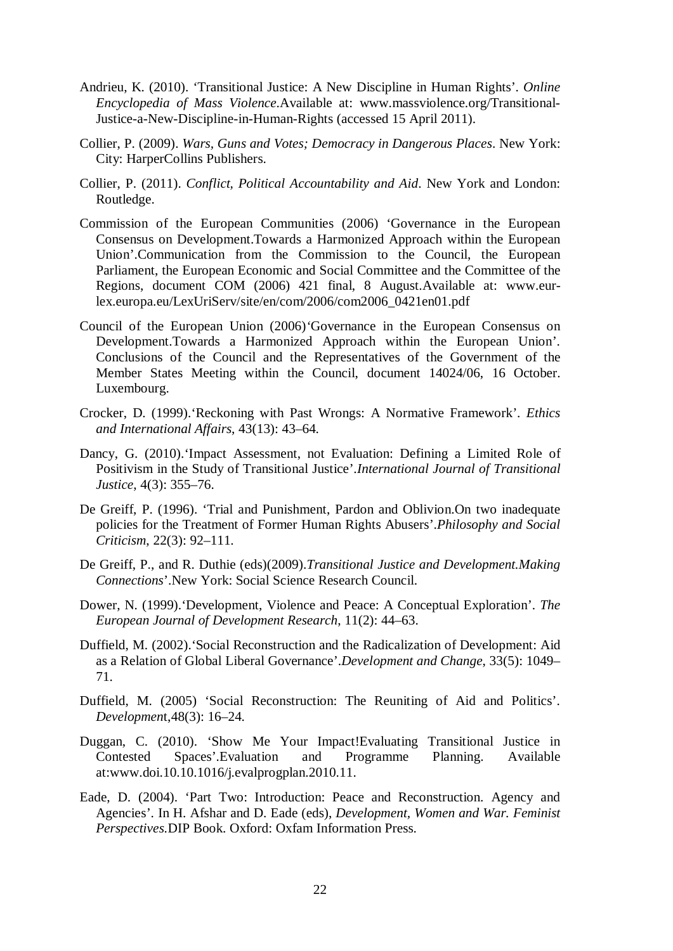- Andrieu, K. (2010). 'Transitional Justice: A New Discipline in Human Rights'. *Online Encyclopedia of Mass Violence*.Available at: www.massviolence.org/Transitional-Justice-a-New-Discipline-in-Human-Rights (accessed 15 April 2011).
- Collier, P. (2009). *Wars, Guns and Votes; Democracy in Dangerous Places*. New York: City: HarperCollins Publishers.
- Collier, P. (2011). *Conflict, Political Accountability and Aid*. New York and London: Routledge.
- Commission of the European Communities (2006) 'Governance in the European Consensus on Development.Towards a Harmonized Approach within the European Union'.Communication from the Commission to the Council, the European Parliament, the European Economic and Social Committee and the Committee of the Regions, document COM (2006) 421 final, 8 August.Available at: www.eurlex.europa.eu/LexUriServ/site/en/com/2006/com2006\_0421en01.pdf
- Council of the European Union (2006)*'*Governance in the European Consensus on Development.Towards a Harmonized Approach within the European Union'. Conclusions of the Council and the Representatives of the Government of the Member States Meeting within the Council, document 14024/06, 16 October. Luxembourg.
- Crocker, D. (1999).'Reckoning with Past Wrongs: A Normative Framework'. *Ethics and International Affairs*, 43(13): 43–64.
- Dancy, G. (2010).'Impact Assessment, not Evaluation: Defining a Limited Role of Positivism in the Study of Transitional Justice'.*International Journal of Transitional Justice*, 4(3): 355–76.
- De Greiff, P. (1996). 'Trial and Punishment, Pardon and Oblivion.On two inadequate policies for the Treatment of Former Human Rights Abusers'.*Philosophy and Social Criticism*, 22(3): 92–111.
- De Greiff, P., and R. Duthie (eds)(2009).*Transitional Justice and Development.Making Connections*'.New York: Social Science Research Council.
- Dower, N. (1999).'Development, Violence and Peace: A Conceptual Exploration'. *The European Journal of Development Research*, 11(2): 44–63.
- Duffield, M. (2002).'Social Reconstruction and the Radicalization of Development: Aid as a Relation of Global Liberal Governance'.*Development and Change*, 33(5): 1049– 71.
- Duffield, M. (2005) 'Social Reconstruction: The Reuniting of Aid and Politics'. *Developmen*t,48(3): 16–24.
- Duggan, C. (2010). 'Show Me Your Impact!Evaluating Transitional Justice in Contested Spaces'.Evaluation and Programme Planning. Available at:www.doi.10.10.1016/j.evalprogplan.2010.11.
- Eade, D. (2004). 'Part Two: Introduction: Peace and Reconstruction. Agency and Agencies'. In H. Afshar and D. Eade (eds), *Development, Women and War. Feminist Perspectives.*DIP Book. Oxford: Oxfam Information Press.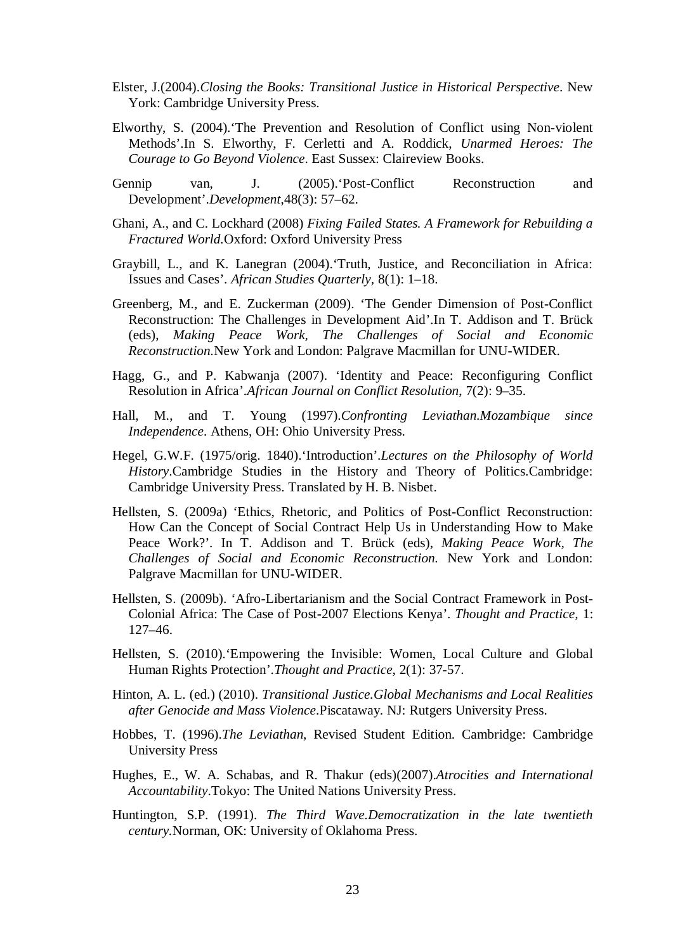- Elster, J.(2004).*Closing the Books: Transitional Justice in Historical Perspective*. New York: Cambridge University Press.
- Elworthy, S. (2004).'The Prevention and Resolution of Conflict using Non-violent Methods'.In S. Elworthy, F. Cerletti and A. Roddick, *Unarmed Heroes: The Courage to Go Beyond Violence*. East Sussex: Claireview Books.
- Gennip van, J. (2005).'Post-Conflict Reconstruction and Development'.*Development*,48(3): 57–62.
- Ghani, A., and C. Lockhard (2008) *Fixing Failed States. A Framework for Rebuilding a Fractured World.*Oxford: Oxford University Press
- Graybill, L., and K. Lanegran (2004).'Truth, Justice, and Reconciliation in Africa: Issues and Cases'. *African Studies Quarterly,* 8(1): 1–18.
- Greenberg, M., and E. Zuckerman (2009). 'The Gender Dimension of Post-Conflict Reconstruction: The Challenges in Development Aid'.In T. Addison and T. Brück (eds), *Making Peace Work, The Challenges of Social and Economic Reconstruction.*New York and London: Palgrave Macmillan for UNU-WIDER.
- Hagg, G., and P. Kabwanja (2007). 'Identity and Peace: Reconfiguring Conflict Resolution in Africa'.*African Journal on Conflict Resolution*, 7(2): 9–35.
- Hall, M., and T. Young (1997).*Confronting Leviathan.Mozambique since Independence*. Athens, OH: Ohio University Press.
- Hegel, G.W.F. (1975/orig. 1840).'Introduction'.*Lectures on the Philosophy of World History*.Cambridge Studies in the History and Theory of Politics.Cambridge: Cambridge University Press. Translated by H. B. Nisbet.
- Hellsten, S. (2009a) 'Ethics, Rhetoric, and Politics of Post-Conflict Reconstruction: How Can the Concept of Social Contract Help Us in Understanding How to Make Peace Work?'. In T. Addison and T. Brück (eds), *Making Peace Work, The Challenges of Social and Economic Reconstruction.* New York and London: Palgrave Macmillan for UNU-WIDER.
- Hellsten, S. (2009b). 'Afro-Libertarianism and the Social Contract Framework in Post-Colonial Africa: The Case of Post-2007 Elections Kenya'. *Thought and Practice,* 1: 127–46.
- Hellsten, S. (2010).'Empowering the Invisible: Women, Local Culture and Global Human Rights Protection'.*Thought and Practice*, 2(1): 37-57.
- Hinton, A. L. (ed.) (2010). *Transitional Justice.Global Mechanisms and Local Realities after Genocide and Mass Violence*.Piscataway. NJ: Rutgers University Press.
- Hobbes, T. (1996).*The Leviathan*, Revised Student Edition. Cambridge: Cambridge University Press
- Hughes, E., W. A. Schabas, and R. Thakur (eds)(2007).*Atrocities and International Accountability*.Tokyo: The United Nations University Press.
- Huntington, S.P. (1991). *The Third Wave.Democratization in the late twentieth century.*Norman, OK: University of Oklahoma Press.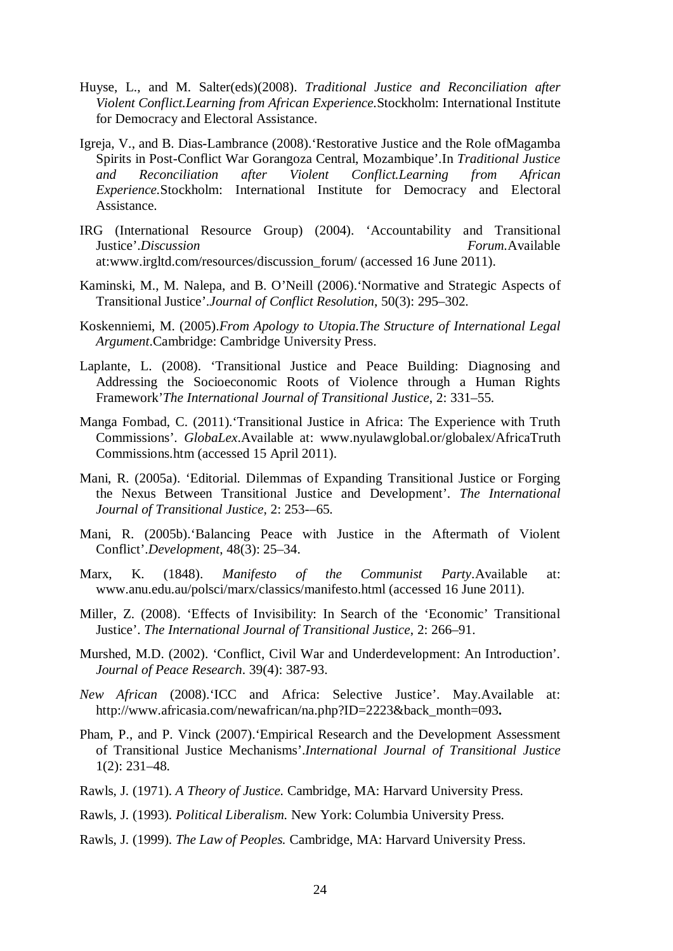- Huyse, L., and M. Salter(eds)(2008). *Traditional Justice and Reconciliation after Violent Conflict.Learning from African Experience.*Stockholm: International Institute for Democracy and Electoral Assistance.
- Igreja, V., and B. Dias-Lambrance (2008).'Restorative Justice and the Role ofMagamba Spirits in Post-Conflict War Gorangoza Central, Mozambique'.In *Traditional Justice and Reconciliation after Violent Conflict.Learning from African Experience.*Stockholm: International Institute for Democracy and Electoral Assistance.
- IRG (International Resource Group) (2004). 'Accountability and Transitional Justice'.*Discussion* Forum.Available at:www.irgltd.com/resources/discussion\_forum/ (accessed 16 June 2011).
- Kaminski, M., M. Nalepa, and B. O'Neill (2006).'Normative and Strategic Aspects of Transitional Justice'.*Journal of Conflict Resolution*, 50(3): 295–302.
- Koskenniemi, M. (2005).*From Apology to Utopia.The Structure of International Legal Argument*.Cambridge: Cambridge University Press.
- Laplante, L. (2008). 'Transitional Justice and Peace Building: Diagnosing and Addressing the Socioeconomic Roots of Violence through a Human Rights Framework'*The International Journal of Transitional Justice*, 2: 331–55.
- Manga Fombad, C. (2011).'Transitional Justice in Africa: The Experience with Truth Commissions'. *GlobaLex*.Available at: www.nyulawglobal.or/globalex/AfricaTruth Commissions.htm (accessed 15 April 2011).
- Mani, R. (2005a). 'Editorial. Dilemmas of Expanding Transitional Justice or Forging the Nexus Between Transitional Justice and Development'. *The International Journal of Transitional Justice*, 2: 253-–65.
- Mani, R. (2005b).'Balancing Peace with Justice in the Aftermath of Violent Conflict'.*Development*, 48(3): 25–34.
- Marx, K. (1848). *Manifesto of the Communist Party*.Available at: www.anu.edu.au/polsci/marx/classics/manifesto.html (accessed 16 June 2011).
- Miller, Z. (2008). 'Effects of Invisibility: In Search of the 'Economic' Transitional Justice'. *The International Journal of Transitional Justice*, 2: 266–91.
- Murshed, M.D. (2002). 'Conflict, Civil War and Underdevelopment: An Introduction'. *Journal of Peace Research*. 39(4): 387-93.
- *New African* (2008).'ICC and Africa: Selective Justice'. May.Available at: http://www.africasia.com/newafrican/na.php?ID=2223&back\_month=093**.**
- Pham, P., and P. Vinck (2007).'Empirical Research and the Development Assessment of Transitional Justice Mechanisms'.*International Journal of Transitional Justice* 1(2): 231–48.
- Rawls, J. (1971). *A Theory of Justice.* Cambridge, MA: Harvard University Press.
- Rawls, J. (1993). *Political Liberalism.* New York: Columbia University Press.
- Rawls, J. (1999). *The Law of Peoples.* Cambridge, MA: Harvard University Press.